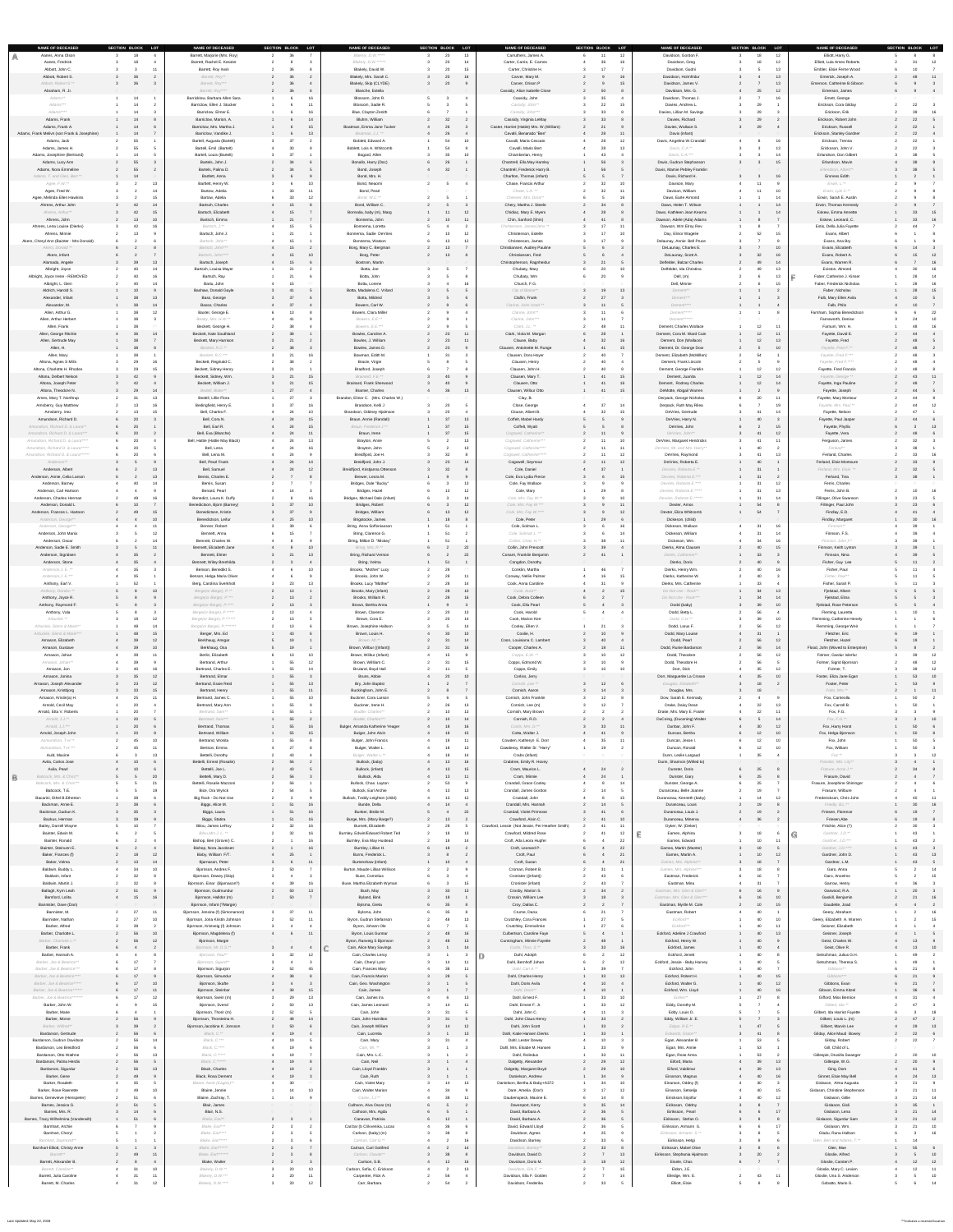| SECTION BLOCK LOT<br><b>NAME OF DECEASED</b><br>Aanes, Anna Olson<br>18        | <b>NAME OF DECEASED</b><br>Barrett, Marjorie (Mrs. Roy)          | SECTION BLOCK LOT<br>36                                        | <b>NAME OF DECEASED</b><br>Blakely, D.W. *****         | SECTION BLOCK LOT<br>20<br>13 | <b>NAME OF DECEASED</b><br>Carruthers, James A.                        | SECTION BLOCK LOT<br>12<br>11 | <b>NAME OF DECEASED</b><br>Davidson, Gordon F.           | SECTION BLOCK LOT | 12              | <b>NAME OF DECEASED</b><br>Elliott, Harry G.                 | SECTION BLOCK LOT                 |  |
|--------------------------------------------------------------------------------|------------------------------------------------------------------|----------------------------------------------------------------|--------------------------------------------------------|-------------------------------|------------------------------------------------------------------------|-------------------------------|----------------------------------------------------------|-------------------|-----------------|--------------------------------------------------------------|-----------------------------------|--|
| Aanes, Fredrick                                                                | Barrett, Rachel E. Kessler                                       |                                                                | Blakely, D.W. ******                                   | 14                            | Carter, Carrie, E. Carnes                                              |                               | Davidson, Greg                                           |                   | 12              | Elliott, Lula Ames Roberts                                   | 12                                |  |
| Abbott, John C.<br>Abbott, Robert S.<br>36                                     | Barrett, Roy Irwin<br>Barrett, Roy**                             |                                                                | Blakely, David W.<br>Blakely, Mrs. Sarah C.            | 15<br>16                      | Carter, Christine H.<br>Carver, Mary M.                                |                               | Davidson, Gudni<br>Davidson, Holmfridur                  |                   | 13<br>13        | Embler, Elsie Ferne Wood<br>Emerick, Joseph A.               | 48<br>$\overline{11}$             |  |
| Abbott, Robert S.**<br>- 36                                                    | Barrett, Roy***                                                  |                                                                | Blakely, Skip (CLYDE)                                  |                               | Carver, Orison P                                                       |                               | Davidson, James V.                                       |                   | 13              | Emerson, Catherine B.Gibson                                  |                                   |  |
| Abraham, R. Jr.                                                                | Barrett, Roy****                                                 | - 36                                                           | Blanche, Estella                                       |                               | Cassidy, Alice Isabelle Close                                          |                               | Davidson, Mrs. G.                                        | ∠ວ                | 12              | Emerson, James                                               |                                   |  |
| Adams**<br>Adams***                                                            | Barricklow, Barbara Allen Sara<br>Barriclow, Ellen J. Stucker    |                                                                | Blossom, John R.<br>Blossom, Sadie R.                  |                               | Cassidy, John<br>Cassidy, John**                                       |                               | Davidson, Thomas J.<br>Davies, Andrew L.                 |                   | 16              | Emett, George<br>Erickson, Cora Gilday                       | 22                                |  |
| Adams****                                                                      | Barriclow, Elmer E.                                              |                                                                | Blue, Clayton Zenith                                   |                               | Cassidy, John***                                                       |                               | Davies, Lillian M. Savings                               |                   |                 | Erickson, Erik                                               | 39<br>-16                         |  |
| Adams, Frank<br>$1 \qquad \qquad 14$<br>Adams, Frank A.<br>- 14                | Barriclow, Marion, A.<br>Barriclow, Mrs. Martha J.               | 15                                                             | Bluhm, William<br>Boatman, Emma Jane Tucker            | 32<br>26                      | Cassidy, Virginia LeMay<br>Caster, Harriet (Hattie) Mrs. W. (William)  |                               | Davies, Richard<br>Davies, Wallace S.                    | 29<br>- 29        |                 | Erickson, Robert John<br>Erickson, Russell                   | 22<br>22                          |  |
| Adams, Frank Melivn (son Frank & Josephine)<br>14                              | Barriclow, Vandike J.                                            | 13<br>- 27                                                     | Boatman, J.J. **                                       | 26                            | Cavalli, Benarado "Ben"                                                | 11                            | Davis (infant)                                           |                   |                 | Erickson, Stanley Gardner                                    | 22                                |  |
| Adams, Jack<br>55<br>Adams, James H.<br>55                                     | Bartell, Augusta (Bartelt)<br>Bartell, Emil (Bartelt)            | - 30                                                           | Boblett, Edward A.<br>Boblett, Lois A. Whitcomb        | 54<br>10                      | Cavalli, Maria Cescato<br>Cavalli, Mario Bert                          | 12<br>13                      | Davis, Angelina W.Crandall<br>Davis, C.A.**              |                   |                 | Erickson, Trenna<br>Ericksson, John V.                       | 22<br>22                          |  |
| Adams, Josephine (Bertrand)                                                    | <b>Bartell, Louis (Bartelt)</b>                                  |                                                                | Bogard, Allen                                          | 10                            | Chamberlan, Henry                                                      | -43                           | Davis, C.A.***                                           |                   |                 | Erlandson, Don Gilbert                                       |                                   |  |
| Adams, Lucy Ann<br>55<br>55<br>Adams, Nora Emmeline                            | Bartels, John J.<br>Bartels, Palina D.                           | 34<br>34                                                       | Bonallo, Harry (Doc)<br>Bond, Joseph                   | 26<br>32                      | Chantrell, Ella May Hamley<br>Chantrell, Frederick Harry B.            | 56                            | Davis, Gudrun Stephanson<br>Davis, Mamie Pebley Franklin |                   | 15              | Erlandson, Mavin<br>Erlendson, Albert**                      | - 38                              |  |
| Adams, T. and Glen, Bert **<br>- 14                                            | Bartlett, Anna                                                   |                                                                | Bond, Mrs. H.                                          |                               | Charlton, Thomas (infant)                                              |                               | Davis, Richard H.                                        |                   | 16              | <b>Ersness Edith</b>                                         |                                   |  |
| Agee, F.W.**<br>Agee, Fred W.                                                  | Bartlett, Henry W.<br>Bartow, Adelia                             | 11                                                             | Bond, Neaomi<br>Bond, Pearl                            |                               | Chase, Francis Arthur<br>Chase, L.A. **                                | 10<br>11                      | Davison, Mary<br>Davison, William                        |                   | 10              | $Erwin, L.*$<br>Erwin, Lyle C.**                             |                                   |  |
| Agee, Melinda Ellen Hawkins                                                    | Bartow, Adelia                                                   | 12                                                             | Bond, W.C.**                                           |                               | Cheever, Mrs. Dora**                                                   |                               | Daws, Earle Armond                                       |                   |                 | Erwin, Sarah E. Austin                                       |                                   |  |
| Ahrens, Arthur John<br>42<br>Ahrens, Arthur**                                  | Bartsch, Charles<br>-14<br>Bartsch, Elizabeth<br>-15             | 15<br>15                                                       | Bond, William C.<br>Bonnalia, baby (m), Marg           | 12                            | Chery, Martha J. Steele<br>Chidiac, Mary E. Myers                      |                               | Daws, Helen T. Wilson<br>Daws, Kathleen Jean Kearns      |                   | 14              | Erwin, Thomas Kennedy<br>Eskew, Emma Annette                 | -33<br>$\overline{15}$            |  |
| Ahrens, John<br>13                                                             | Bartsch, Emma<br>10                                              |                                                                | Bonnema, John                                          | 10<br>11                      | Chin, Sanford (Shin)                                                   | 41                            | Dawson, Adele (Ada) Adams                                |                   |                 | Eskew, Leonard, C.                                           | 33 16                             |  |
| Ahrens, Lena Louise (Dierks)<br>42<br>Ahrens, Minnie                           | Bartsch, J.**<br>Bartsch, John J.                                |                                                                | Bonnema, Loretta<br>Bonnema, Sadie DeVries             | 1 <sub>0</sub><br>12          | Christensen, James/Jens **<br>Christenson, Estelle                     | 17<br>11<br>17<br>10          | Dawson, Wm Elroy Rev<br>Day, Elinor Wagelie              | 52                |                 | Estis, Della Julia Fayette<br>Evans, Albert                  | 44                                |  |
| Akers, Cheryl Ann (Bainter - Mrs Donald)                                       | Bartsch, John**                                                  |                                                                | Bonnema, Watson                                        | 13 <sup>°</sup><br>12         | Christenson, James                                                     | 17                            | Delaunay, Annie Bell Pruce                               |                   |                 | Evans, Ana Bry                                               |                                   |  |
| Akers, Donald **<br>Akers, Infant                                              | Bartsch, John***<br>Bartsch, John****                            | 15<br>10                                                       | Borg, Mary C. Bergman<br>Borg, Peter                   | 13 <sup>°</sup><br>13         | Christiansen, Audrey Pauline<br>Christiansen, Fred                     |                               | DeLaunay, Charles E.<br>DeLaunay, Scott A.               |                   | 10<br>16        | Evans, Elizabeth<br>Evans, Robert A.                         | 12                                |  |
| Alamada, Angele<br>39                                                          | Bartsch, Joseph<br>13                                            | 15                                                             | Bostrom, Martin                                        |                               | Christopherson, Ragnheidur                                             |                               | Delfelder, Balzar Charles                                | - 49              |                 | Evans, Warren R.                                             | $\overline{16}$                   |  |
| Albright, Joyce<br>40<br>Albright, Joyce Irene - REMOVED<br>40                 | Bartsch, Louisa Mayer<br>-14<br>Bartsch, Ray<br>16               | 21                                                             | Botta, Joe<br>Botta, John                              |                               | Chubaty, Mary<br>Chubaty, Wm                                           | 10                            | Delfelder, Ida Christina<br>Dell, (m)                    |                   |                 | Eviston, Almond<br>Faber, Catherine J. Kinser                | 30<br>16<br>28<br>$\overline{14}$ |  |
| Albright, L. Glen<br>40                                                        | Bartu, John                                                      | 15                                                             | Botta, Lorene                                          | 16                            | Church, F.G.                                                           |                               | Dell, Minnie                                             |                   |                 | Faber, Frederick Nicholas                                    | 28<br>16                          |  |
| Aldrich, Harold S.<br>10<br>Alexander, Infant<br>38                            | <b>Bashaw, Donald Gayle</b><br>Bass, George<br>-13               | 37                                                             | Botta, Madalena C. Vrilard<br>Botta, Mildred           |                               | City of Blaine**<br>Claflin, Frank                                     | 19<br>13<br>27                | Dement**<br>Dement***                                    |                   |                 | Faber, Nicholas<br>Falb, Mary Ellen Avila                    | 28<br>$\overline{15}$             |  |
| Alexander, M.<br>38                                                            | Basso, Charles                                                   | 37                                                             | Bowers, Carl W.                                        |                               | Clarine, John Used **                                                  | 11                            | Dement****                                               |                   |                 | Falb, Philo                                                  | 10                                |  |
| Allen, Arthur G.<br>38<br>Allen, Arthur Herbert                                | Baxter, George E.<br>Beatty, Mrs. H.W.**                         | -41                                                            | <b>Bowers, Clara Miller</b><br>Bowers, E.E.**          |                               | Clarine, John**<br>Clarine, John***                                    | 11                            | Dement*****<br>Dement******                              |                   |                 | Farnham, Sophia Benedictson<br>Farnsworth, Denise            | 10                                |  |
| Allen, Frank<br>38                                                             | Beckett, George H.                                               | 38                                                             | Bowers, E.E.***                                        |                               | Clark, J.L. **                                                         | 48<br>11                      | Dement, Charles Wallace                                  | 12 11             |                 | Farnum, Wm. H.                                               | -16                               |  |
| Allen, George Ritchie<br>36<br>Allen, Gertrude May                             | Beckett, Kate Southland<br>14<br><b>Beckett, Mary Harrison</b>   | 38                                                             | Bowles, Caroline A.<br>Bowles, J. William              | 23<br>11<br>23                | Clark, Viola M. Morgan<br>Clause, Baby                                 |                               | Dement, Cora M. Ward Cain<br>Dement, Don (Wallace)       | 12 <sup>°</sup>   | 11              | Fayette, David E.<br>Fayette, Fred                           |                                   |  |
| Allen, H.<br>38                                                                | Beckett, R.C.**                                                  | -38                                                            | Bowles, James D.                                       | 23                            | Clausen, Antoinette M. Runge                                           |                               | Dement, Dr. George Dow                                   |                   | 10              | Fayette, Fred F.**                                           | 48                                |  |
| Allen, Mary<br>38<br>Altona, Agnes S Mills<br>29                               | Beckett, R.C.***<br>Beckett, Reginald C.<br>16                   | 16<br>38                                                       | Bowman, Edith M.<br>Bracie, Virgie                     | 31                            | Clausen, Dora Hoyer<br>Clausen, Henry                                  |                               | Dement, Elizabeth (McMillen)<br>Dement, Frank Lincoln    | 54                |                 | Fayette, Fred F.***<br>Fayette, Fred F.****                  | 48                                |  |
| Altona, Charlotte H. Rhodes<br>-29                                             | Beckett, Sidney Henry                                            | - 21                                                           | Bradford, Joseph                                       |                               | Clausen, John H.                                                       |                               | Dement, George Franklin                                  |                   |                 | <b>Fayette, Fred Francis</b>                                 |                                   |  |
| Altona, Delbert Nelson<br>42<br>Altona, Joseph Peter<br>42                     | Beckett, Sidney, Wm.<br>Beckett, William J.                      | 15<br>21<br>15                                                 | Brainard, F.E.**<br>Brainard, Frank Sherwood           | 40                            | Clausen, Mary T.<br>Clausen, Otto                                      | 15                            | Dement, Juanita<br>Dement, Rodney Charles                | 12 <sup>7</sup>   | 14              | Fayette, George **<br>Fayette, Inga Pauline                  | 43<br>$\sim$ 11                   |  |
| 29<br>Altona, Theodore N.                                                      | Bedell, Blake**<br>14                                            |                                                                | <b>Bramer, Charles</b>                                 | 13                            | Clausen, Wilbur Otto                                                   |                               | DeMotte, Abigail Warren                                  |                   |                 | Fayette, Joseph                                              | 44                                |  |
| Ames, Mary T. Northrup                                                         | Bedell, Lillie Flora                                             | 27<br>27                                                       | Brandon, Elinor C. (Mrs. Charles W.)                   |                               | Clay, B.                                                               | 27<br>14                      | Derpack, George Nicholas                                 |                   |                 | Fayette, Mary Montour                                        |                                   |  |
| Amsberry, Guy Matthew<br>Amsberry, Inez                                        | Bedingfield, Henry E.<br>Bell, Charles F.                        | 16<br>10                                                       | Brandson, Kelli J<br>Brandson, Oddney Hjalmson         |                               | Close, George<br>Clouse, Albert B.                                     |                               | Derpack, Ruth May Rilea<br>DeVries, Gertrude             |                   |                 | Fayette, Mrs. Paul **<br>Fayette, Nelson                     | 12                                |  |
| Amundson, Richard D.<br>$\sqrt{20}$                                            | Bell, Cora N.                                                    | 15                                                             | Braun, Annie (Randall)                                 | 37<br>13                      | Coffelt, Mabel Hardy                                                   |                               | DeVries, Harry N.                                        |                   |                 | Fayette, Paul Jasper                                         |                                   |  |
| Amundson, Richard D. & Laura**<br>20<br>Amundson, Richard D. & Laura***<br>20  | Bell, Earl R.<br>Bell, Eva (Blanche)                             | 24                                                             | Braun, Frederick J.**<br>Braun, Irene                  | 27<br>15<br>37                | Coffelt, Wyatt<br>Cogswell, Catherine**                                |                               | DeVries, John<br>DeVries, John**                         | - 41              | 12              | Fayette, Phyllis<br>Fayette, Vera                            | 13                                |  |
| Amundson, Richard D. & Laura****<br>20                                         | Bell, Hattie (Hattie May Black)                                  |                                                                | Brayton, Anne                                          | 13                            | Cogswell, Catherine***                                                 | 1 <sub>0</sub>                | DeVries, Margaret Hendricks                              |                   |                 | Ferguson, James                                              |                                   |  |
| Amundson, Richard D. & Laura*****<br>20<br>Amundson, Richard D. & Laura ****** | Bell, Lena<br>Bell, Lena M.                                      | 16                                                             | Brayton, John<br>Breidfjord, Joe H.                    | 13                            | Cogswell, Catherine****<br>Cogswell, Catherine*****                    | 11<br>11<br>12                | DeVries, Mr. and Mrs. Harry**<br>DeVries, Raymond        |                   | 13              | Ferland**<br>Ferland, Charles                                |                                   |  |
| Anderson**                                                                     | Bell, Pearl Frank                                                | 24                                                             | Breidfjord, John J.                                    | 23<br>14                      | Cogswell, Seymour                                                      | 12                            | DeVries, Roberta E.                                      |                   |                 | Ferland, Elsie Montoure                                      |                                   |  |
| Anderson, Albert<br>$\sim$ $\sim$ $\sim$<br>Anderson, Annie, Celia Larson      | Bell, Samuel<br>$\overline{a}$<br>Bemis, Charles E.<br>13        | 4 24 12<br>12                                                  | Breidfjord, Kristjanna Ottenson<br>Brewer, Leora M.    | $\sim$ $\sim$ $\sim$          | Cole, Daniel<br>Cole, Eva Lydia Pierce                                 | 15                            | Devries, Roberta E.**<br>Devries, Roberta E.***          | $\sim$ 0.4        |                 | Ferland, Mrs. Elsie **<br>Ferland, Tina                      | 38                                |  |
| 40<br>Anderson, Barney                                                         | Bemis, Susan                                                     |                                                                | Bridges, Dale "Bucky"                                  | 13                            | Cole, Fay Wallace                                                      |                               | Devries, Roberta E.****                                  |                   | 12              | Ferris, Charles                                              |                                   |  |
| Anderson, Carl Hartoon<br>Anderson, Charles Herman                             | Benard, Pearl<br>Benedict, Laura K. Duffy<br>16                  | 14<br>16                                                       | Bridges, Hazel<br>Bridges, Michael Dale (infant)       | 12                            | Cole, Mary<br>Cole, Mrs. Fay W.**                                      |                               | Devries, Roberta E.*****<br>Devries, Roberta E.******    |                   |                 | Ferris, John B.<br><b>Fillinger, Olive Swanson</b>           |                                   |  |
| Anderson, Donald L<br>10                                                       | Benedictson, Bjorn (Barney)                                      | 37<br>10                                                       | Bridges, Robert                                        | 12                            | Cole, Mrs. Fay W.***                                                   | 11                            | Dexter, Amos                                             | 54                |                 | Fillinger, Paul John                                         | 23                                |  |
| Anderson, Frances L. Hartoon<br>49<br>Anderson, George**                       | Benedictson, Kristin<br>Benedictson, Leifur<br>10                | 10<br>25                                                       | Bridges, William<br>Brigstocke, James                  | 12<br>18                      | Cole, Mrs. Fay W.****<br>Cole, Peter                                   | 12                            | Dexter, Eliza Whitcomb<br>Dickeson, (child)              | 54                |                 | Findlay, E.D.<br>Findlay, Margaret                           | 30<br>$\overline{16}$             |  |
| Anderson, George***                                                            | Benner, Robert                                                   |                                                                | Bring, Anna Soffoniasson                               |                               | Cole, Solman L.                                                        |                               | Dickeson, Wallace                                        |                   |                 | Finnson**                                                    | 39                                |  |
| Anderson, John Manix<br>Anderson, Oscar                                        | Bennett, Anna<br>Bennett, Charles W.                             |                                                                | Bring, Clarence G.<br>Bring, Milton D. "Mickey"        |                               | Cole, Solman L. **<br>Collier, Chas. H.**                              | 14<br>11                      | Dickeson, William<br>Dickeson, Wm.                       |                   |                 | Finnson, F.S.<br>Finnson, John )**                           | 39<br>-39                         |  |
| Anderson, Sadie E. Smith                                                       | Bennett, Elizabeth Jane                                          | 10                                                             | Bring, Mrs. R.**                                       | 22                            | Collin, John Prescott                                                  |                               | Dierks, Alma Clausen                                     |                   | 15              | Finnson, Keith Lynton                                        | 39                                |  |
| Anderson, Sigridsen<br>- 35<br>Anderson, Stone<br>4 35                         | Bennett, Elmer<br>Bennett, Wiley Brenhilda                       | 13                                                             | <b>Bring, Richard Vernon</b><br>Bring, Velma           | 22<br>51                      | Conant, Franklin Benjamin<br>Congdon, Dorothy                          |                               | Dierks, Catherine**<br>Dierks, Doris                     |                   |                 | Finnson, Nina<br>Fisher, Guy Lee                             |                                   |  |
| Anderson, J. E. **<br>35                                                       | Benson, Benedikt S.                                              | 10                                                             | Brooks, "Mother" Lucy                                  |                               | Conklin, Martha                                                        |                               | Dierks, Henry Wm.                                        |                   |                 | Fisher, Paul                                                 |                                   |  |
| Anderson, J. E.***<br>- 35<br>Anthony, Earl V.<br>52                           | Benson, Helga Maria Oliver<br>Berg, Carolina Sverkholt           |                                                                | Brooks, John W.<br>Brooks, Lucy "Mother"               | 14                            | Conway, Nellie Palmer<br>Cook, Anna Caroline                           |                               | Dierks, Katherine W.<br>Dierks, Mrs. Catherine           |                   |                 | Fisher, Paul**<br>Fisher, Sarah P.                           |                                   |  |
| Anthony, Gordon **                                                             | Berge(or Barge), P.**<br>10                                      | 13                                                             | Brooks, Mary (infant)                                  | 28<br>10                      | Cook, Aura**                                                           |                               | Do Not Use - Rock**                                      |                   | 13              | Fjelstad, Albert                                             |                                   |  |
| Anthony, Joyce R.                                                              | Berge(or Barge), P.***                                           |                                                                | Brooks, William R.<br>Brown, Bertha Anna               | 16                            | Cook, Debra Colleen<br>Cook, Ella Pearl                                |                               | Do Not Use - Rock***<br>Dodd (baby)                      |                   | 10              | Fjelstad, Elina<br>Fjelstad, Rose Peterson                   |                                   |  |
| Anthony, Raymond F.<br>Anthony, Vala                                           | Berge(or Barge), P.****<br>Berge(or Barge), P.*****              | 13                                                             | Brown, Clarence                                        | -13                           | Cook, Harold                                                           |                               | Dodd, Betty L.                                           |                   |                 | Fleming, Lauretta                                            |                                   |  |
| Arbuckle **                                                                    | Berge(or Barge), P.******                                        |                                                                | Brown, Cora E.                                         | 14                            | Cook, Marion Kerr                                                      |                               | Dodd, C.H.**                                             |                   | 10<br>12        | Flemming, Catherine Henely                                   |                                   |  |
| Arbuckle, Glenn & Marie**<br>Arbuckle, Glenn & Marie***<br>48                  | Berge(or Barge), P.*******<br>Berger, Mrs. Ed<br>15              | 43                                                             | Brown, Josephine Hallson<br>Brown, Louis H.            | 14<br>10                      | Cooley, Ellen V.<br>Coolie, H.                                         | 10                            | Dodd, Larus F.<br>Dodd, Mary Louise                      |                   |                 | Flemming, George Weir<br>Fletcher, Eric                      | 19                                |  |
| Arnason, Elizabeth<br>- 39                                                     | Berkhaug, Ansgar                                                 |                                                                | Brown, Mr.**                                           | 14                            | Coon, Louisiana C. Lambert                                             |                               | Dodd, Pearl                                              |                   | 12              | Fletcher, Hazel                                              |                                   |  |
| Arnason, Gustave<br>39<br>Arnason, Johan<br>- 39                               | Berkhaug, Osa<br>10<br>Berlin, Elizabeth                         | 10                                                             | Brown, Wilbur ((Infant))<br>Brown, Wilbur (Infant)     | 31<br>16                      | Cooper, Charles A.<br>Copps, E.W. **                                   | 11<br>$\overline{12}$         | Dodd, Runie Bardarson<br>Dodd, Theodore                  | 56                | 14              | Flood, John (Moved to Enterprise)<br>Folmer, Gardur Islerfur |                                   |  |
| Arnason, Johan**<br>-39                                                        | Bertrand, Arthur                                                 | 12                                                             | Brown, Willliam C.                                     | 15                            | Copps, Edmond W.                                                       |                               | Dodd, Theodore H.                                        |                   |                 | Folmer, Sigrid Bjornson                                      |                                   |  |
| Arnason, Jon<br>40<br>Arnason, Jonina<br>35                                    | Bertrand, Charles E.<br>Bertrand, Elmar<br>12                    | 55<br>55                                                       | Bruland, Boyd Hall<br>Bruns, Abbie                     | 20<br>10                      | Copps, Emily<br>Corliss, Jerry                                         | 1 <sub>0</sub>                | Dorr, Dick<br>Dorr, Marguerite La Crosse                 |                   | 12<br>10        | Folmer, T<br>Foster, Eliza Jane Egan                         | 39<br>53<br>10 <sup>7</sup>       |  |
| Arnason, Joseph Alexander<br>23                                                | Bertrand, Essie Reid<br>12                                       | 55<br>13                                                       | Bry, John Baptist                                      |                               | Cornish, Lee **                                                        | 12                            | Douglas, Elizabeth**                                     |                   |                 | Foster, Peter                                                | - 53                              |  |
| Arnason, Kristbjorg<br>33<br>Arnason, Kristin(a) H.<br>25                      | Bertrand, Henry<br>15<br>Bertrand, James C.                      | 55<br>10<br>55                                                 | Buckingham, John E.<br>Buckner, Cora Larson            |                               | Cornish, Aaron<br>Cornish, John Franklin                               | 14<br>12                      | Douglas, Mrs.<br>Dow, Sarah E. Kennady                   | 18                |                 | Fotto, Mrs.**<br>Fox, Carrieolla                             | $\sim$ 11<br>50                   |  |
| Arnold, Cecil May<br>20                                                        | Bertrand, Mary Ann                                               | 55                                                             | Buckner, Irene H.                                      | 13                            | Cornish, Lee (m)                                                       | 12                            | Drake, Daisy Dean                                        |                   | 13              | Fox, Carroll B.                                              | 50                                |  |
| Arnold, Etta V. Roberts<br>20<br>Arnold, J.J.**<br>20                          | Bertrand, Sam**<br>Bertrand, Sam***                              | 55                                                             | Budde, Charles**<br>Budde, Charles***                  | 13<br>10 <sup>°</sup><br>14   | Cornish, Mary Brown<br>Cornish, R.D.                                   |                               | Drake, Mrs. Mary E. Foster<br>DuCoing, (Duconing) Walter |                   | $-11$           | Fox, F.G.<br>$F$ ox, F.G. $**$                               |                                   |  |
| Arnold, J.J.***<br>20                                                          | Bertrand, Thomas                                                 | 16                                                             | Bulger, Amanda Katherine Yeager                        | 18<br>16                      | Costis, Mrs. D.**                                                      | 11                            | Dunbar, John F.                                          |                   | 12              | Fox, Harry Horst                                             | 50                                |  |
| Arnold, Joseph John<br>20<br>Asmundson, T.H.**                                 | Bertrand, William<br>Bertrand, Wonita                            | 15<br>55                                                       | Bulger, John Alvin<br><b>Bulger, John Francis</b>      | 15<br>11                      | Cotta, Walter J.<br>Cowden, Katheryn E. Dorr                           | 11                            | Duncan, Bertha<br>Duncan, Jesse I.                       | $\overline{10}$   | 10<br>$10^{-1}$ | Fox, Helga Bjornson<br>Fox, John                             | 50<br>50                          |  |
| Asmundson, T.H.***<br>40.                                                      | Bertson, Emma                                                    |                                                                | Bulger, Walter L.                                      | 18<br>13                      | Cowderoy, Walter Sr. "Harry"                                           |                               | Duncan, Ronald                                           |                   |                 | Fox, William                                                 | 50                                |  |
| Auld, Maxine<br>Avila, Carlos Jose<br>10                                       | Bettelli, Dorothy<br>Bettelli, Ernest (Rosalie)                  | 56                                                             | Bulger, Walter L.**<br>Bullock, (baby)                 | 14<br>16<br>13 <sup>°</sup>   | Crabs (infant)<br>Crabtree, Emily R. Hovey                             |                               | Dunn, Leslie Largaud<br>Dunn, Shannon (Willed to)        |                   |                 | $Foz$ $**$<br>Franzke, Mrs. Lily**                           |                                   |  |
| Avila, Pearl                                                                   | Bettelli, Joe L.                                                 | 43                                                             | Bullock, (infant)                                      | 15                            | Cram, Maurice L.                                                       | 24                            | Dunster, Doris                                           | 25                |                 | Frasure, Anna J.**                                           |                                   |  |
| Babcock, Mrs. & Chris**<br>Babcock, Mrs. & Chris***                            | Bettelli, Mary D.<br>20<br>Bettelli, Rosalie Mazzoni             | 56<br>56                                                       | Bullock, Alda<br>Bullock, Chas. Layton                 | 13<br>53                      | Cram, Minnie<br><b>Crandall, Grace Cooley</b>                          | 24<br>14                      | Dunster, Gary<br>Dunster, George A.                      | - 25              |                 | Frasure, David<br>Frasure, Josephine Shininger               |                                   |  |
| Babcock, T.E.                                                                  | Bice, Ora Wyrick                                                 | 54                                                             | <b>Bullock, Earl Archie</b>                            | 13<br>13                      | Crandall, James Gordon                                                 | 14                            | Duranceau, Belle Joanne                                  | 19                |                 | Frasure, Wilbure                                             |                                   |  |
| Bacarini, Ethel B.Etherton<br>- 38<br>Backman, Arnie E.<br>38                  | Big Rock - Do Not Use<br>Biggs, Alice M.                         | 51<br>16                                                       | Bullock, Teddy Leighton (child)<br>Bunde, Della        | 13 <sup>°</sup><br>12<br>14   | Crandall, John<br>Crandall, Mrs. Hannah                                | 15<br>14                      | Duranceau, Kenneth (baby)<br>Duranceau, Louis            | 19                | 12              | Frederickson, Chris John<br>Friedly, B.L.**                  | 40<br>30<br>$\overline{16}$       |  |
| Backman, Gudrun K.<br>35                                                       | Biggs, Laura                                                     | 16                                                             | Bunker, Birdie M.                                      | 22                            | Crandall, Violet Primrose                                              |                               | Duranceau, Louis J.                                      | 19                |                 | Friesen, Florence                                            |                                   |  |
| Backus, Herman<br>39<br><b>Bailey, Darrell Wayne</b>                           | Biggs, Statira<br><b>Bilou, James LeRoy</b>                      | 16<br>- 51<br>16                                               | Burge, Mrs. (Mary Barge?)<br><b>Burnett, Elizabeth</b> |                               | Crawford, Alvin C.<br>Crawford, Lessie (Not Jessie, Per Heather Smith) | 10<br>11                      | Duranceau, Minerva<br>Dyker, W. (Deker)                  | 36                |                 | Friesen, Abe<br>Fritchie, Alice (?)                          | 19<br>30                          |  |
| Bainter, Edwin M.                                                              | Bilou, Mrs. J. L. **                                             | 16                                                             | <b>Burnley, Edwin/Edward Robert Ted</b>                | 13                            | Crawford, Mildred Rose                                                 | 12                            | Eames, Alphina                                           |                   |                 | Gardner, J.D.**                                              |                                   |  |
| Bainter, Ronald<br>Bainter, Steinunn E.                                        | Bishop, Ben (Grover) C.<br>Bishop, Nora Jacobsen                 | 16<br>16                                                       | Burnley, Eva May Hustead<br>Burnley, Lillian H.        | 14<br>18                      | Croft, Ada Leora Hupfer<br>Croft, Leonard P.                           |                               | Eames, Edward<br>Eames, Martin (Manter)                  | 18                |                 | Gardner, J.D.***<br>Gardner, J.D. ****                       | 43                                |  |
| Baker, Frances (f)<br>18                                                       | Bixby, William F/T.                                              | 25                                                             | Burns, Frederick L.                                    |                               | Croft, Paul                                                            |                               | Eames, Martin A.                                         |                   | 12 <sup>°</sup> | Gardner, John D.                                             | $\overline{13}$                   |  |
| Baker, Velma<br>13<br>Baldwin, Buddy L.                                        | Bjarnason, Peter<br>-14<br>Bjornson, Andres F.<br>10             | 11                                                             | Burtenshaw (infant)<br>Burton, Maude Lillian Willison  | 10 <sup>°</sup>               | Croft, Susan<br>Croman, Robert B.                                      | 21                            | Eames, Mrs. Alphine**<br>Eames, Mrs. Alphine***          | 18<br>18          |                 | Gardner, L.M.<br>Garo, Anna                                  | 43<br>- 14                        |  |
| Baldwin, Infant<br>Baldwin, Martin J.                                          | Bjornson, Dewey (Skip)                                           | 39                                                             | <b>Buse, Cornelius</b><br>Buse, Martha Elizabeth Wyman |                               | Cronister ((infant))<br>Cronister (infant)                             | 43<br>-43                     | Eastman, Frederick<br>Eastman, Mina                      |                   |                 | Garo, Anselmo<br>Garrow, Henry                               |                                   |  |
| Ballagh, Kym Leah                                                              | Bjornson, Einar (Bjarnason?)<br>Bjornson, Gudmundur              | 50<br>13                                                       | Bush, May                                              | 33<br>13                      | Crosby, Marion S.                                                      | 34                            | Eastman, Mrs. Glen & Glen**                              |                   |                 | Garwood, R.A.                                                | 20                                |  |
| Bamford, Lolita<br>15<br>Bannister, Dave (Dan)                                 | Bjornson, Halldor (m)<br>16<br>Bjornson, Infant (?Margie)        | 50                                                             | <b>Byland, Bink</b><br>Bylsma, Greta                   | 18<br>35                      | Crossin, William Lee<br>Croy, Dallas C.                                | 18                            | Eastman, Mrs. Glen & Glen***<br>Eastman, Myrtle M. Cole  |                   | 10<br>15        | Gaskill, Benjamin<br>Gaudette, Joad                          | 16                                |  |
| - 27<br>Bannister, M.                                                          | Bjornson, Jensina (f) (Simonarson)                               |                                                                | Bylsma, John                                           |                               | Crume, Dana                                                            |                               | Eastman, Robert                                          |                   |                 | Geery, Abraham                                               |                                   |  |
| Bannister, Nathan<br>- 27<br>Barber, Alfred<br>39                              | 10<br>Bjornson, Jona Kristin Johnson                             | 11                                                             | Byron, Gudrun Stefanson                                | 13                            | <b>Crutchley, Cora Frances</b>                                         |                               | Eckford**<br>Eckford***                                  |                   | 10              | Geery, Elizabeth A. Warren<br>Geisner, Elizabeth             |                                   |  |
| Barber, Charlotte L.<br>56 <sup>°</sup>                                        | Bjornson, Kristveig (f) Johnson<br>Bjornson, Magdelena (f)<br>10 | 11                                                             | Byron, Johann Ole<br>Byron, Louis Gunnar               | 16<br>48                      | Crutchley, Emma/Imie<br><b>Culbertson, Caroline Faye</b>               |                               | Eckford, Adeline J Crawford                              |                   | 13              | Geisner, Joseph                                              |                                   |  |
| Barber, Charlotte L.**<br>56                                                   | Bjornson, Margie                                                 |                                                                | Byron, Ranveig S Bjornson                              | 13                            | Cunningham, Minnie Fayette                                             |                               | Eckford, Henry W.                                        |                   |                 | Geist, Charles W.                                            |                                   |  |
| Barber, Frank<br>Barber, Hannah A.                                             | Bjornson, Mr. D.S.**<br>Bjornson, Paul**                         |                                                                | Cain, Alice Mary Savings<br>Cain, Charles Leroy        | 14                            | Curtis, Thos. S.**<br>Dahl, Adolph                                     | 12                            | Eckford, James<br>Eckford, Jenett                        |                   |                 | Geist, Olive R.<br>Getschman, Julius G.H.                    | 13 10<br>49                       |  |
| Barber, Joe & Beatrice**                                                       | Bjornson, Sigurd**                                               |                                                                | Cain, Cheryl Lynn                                      | 11                            | Dahl, Bernhoff Johan                                                   | 12                            | Eckford, Jessie - Baby Harvey                            |                   |                 | Getschman, Theresa S.                                        |                                   |  |
| Barber, Joe & Beatrice***<br>Barber, Joe & Beatrice****<br>$\overline{17}$     | Bjornson, Sigurjon<br>Bjornson, Simundur                         | 45<br>38                                                       | Cain, Frances Mary<br>Cain, Francis Marion             |                               | Dahl, Carl A.**<br>Dahl, Charles Henry                                 | ററ<br>13                      | Eckford, John<br>Eckford, Robert H.                      |                   |                 | Gibbons**<br>Gibbons***                                      | $\sim$ 21                         |  |
| Barber, Joe & Beatrice*****                                                    | Bjornson, Skafte                                                 |                                                                | Cain, Geo. Washington                                  |                               | Dahl, Doris Avila                                                      |                               | Eckford, Walter G.                                       |                   | 12              | Gibbons, Evan                                                |                                   |  |
| Barber, Joe & Beatrice******<br>Barber, Joe & Beatrice*******                  | Bjornson, Steinbor<br>Bjornson, Svein (m)                        | - 39<br>-15<br>13                                              | Cain, James<br>Cain, James Ira                         | 13                            | Dahl, Doris**<br>Dahl, Ernest F.                                       | ററ<br>10                      | Eckford, Wm. Lloyd<br>Eckles**                           |                   | 16              | Gibson, Emma Kitzel<br><b>Gifford, Miss Bernice</b>          | 36                                |  |
| Barber, John W.                                                                | Bjornson, Svend                                                  | 13                                                             | Cain, James Leonard                                    | 11                            | Dahl, Ernest F. Jr                                                     | ററ<br>12                      | Eddy, Dorothy M.                                         |                   |                 | Gilbert, Ida **                                              |                                   |  |
| Barber, Marie<br>Barber, Morse<br>56                                           | Bjornson, Thorir (m)<br>Bjornson, Thorsteina H.                  | 48<br>14                                                       | Cain, John<br>Cain, John Hamilton                      | 31<br>31                      | Dahl, John C.<br>Dahl, John Claus Henry                                | 33                            | Eddy, Louis D.<br>Eddy, William Jr. E.                   |                   |                 | Gilbert, Ida Harriot Fayette<br>Gilbert, Louis L. (m)        | $\overline{18}$<br>47             |  |
| Barber, Wilfred**<br>$\sqrt{39}$                                               | Bjornson, Jacobina K. Jonsson                                    |                                                                | Cain, Joseph William                                   | 12                            | Dahl, John Scott                                                       |                               | Edgar, R.E.**                                            |                   |                 | Gilbert, Marvin Lee                                          | 29<br>$\overline{13}$             |  |
| <b>Bardarson, Gertrude</b><br>56<br>56<br>Bardarson, Gudrun Davidson           | Black, C.**<br>Black, C.***                                      |                                                                | Cain, Lucretia<br>Cain, Mary                           | 13 <sup>°</sup><br>21         | Dahl, Katie Hansen Dierks<br>Dahl, Lester Dewey                        | 1 <sub>0</sub>                | Edwards, Grace**<br>Egan, Alexander B                    | 53                |                 | Gilday, Alice Maud Bowey<br>Gilday, Robert                   | 22<br>22                          |  |
| Bardarson, Leo Breidford<br>56                                                 | Black, C.****                                                    |                                                                | Cain, Mr. **                                           |                               | Dahl, Mrs. Elsabe M. Hansen                                            |                               | Egan, Mrs. Annie                                         | 53                |                 | Gill, Child of L.                                            |                                   |  |
| Bardarson, Otto Wathne<br>56<br>Bardarson, Palina Herdis<br>56                 | Black, C.*****<br><b>Black, C.******</b>                         |                                                                | Cain, Mrs. L.C.<br>Cain, Neil                          |                               | Dahl, Rolindus<br>Dalgetty, Alexander                                  | 11<br>12                      | Egan, Rose Anna<br>Eiford, Maria                         |                   | 13              | Gillespie, Drusilla Swanger<br>Gillespie, W.G.               | 20<br>20                          |  |
| Bardarson, Sigurdur<br>56                                                      | <b>Black, Charles</b>                                            |                                                                | Cain, Lloyd Franklin                                   |                               | Dalgetty, Margaret Boyd                                                |                               | Eiford, Valdimar                                         |                   |                 | Ging, Dom                                                    |                                   |  |
| Barker, Gene<br>49<br>Barker, Roadeth<br>- 35                                  | <b>Black, Rosa Dement</b><br>Blaine, Aerie (Eagles)**            | 19<br>-30                                                      | Cain, Ruth<br>Cain, Violet Mary                        | 13                            | Danielson, Andrew<br>Danielson, Bertha & Baby+A372                     | 1 <sub>0</sub>                | Einarson, Magnus<br>Einarson, Oddny (f)                  |                   | 16              | Ginnet, Elsie May Bell<br>Gislason, Alma Augusta             | 24 13                             |  |
| Barker, Rose Raenette<br>49                                                    | Blaine, Jennie                                                   | 10<br>14                                                       | Cain, Walter Marion                                    |                               | Dare, Amelia (Dorr)                                                    | 12                            | Einarson, Setselja                                       |                   | 15              | Gislason, Christine Stephenson                               |                                   |  |
| Barnes, Genevieve (Henspeter)<br>Barnes, Jessica G.                            | Blaine, Zachray, T<br>Blair, James                               | 14<br>$\overline{0}$ $\overline{0}$                            | Caine, J.J.**<br>Calhoon, Alva Oscar (m)               |                               | Daubenspeck, Maxine E.<br>Davenport, Kerry                             | 14                            | Eirickson, Snjolfur<br>Eiriksson, Oddny                  |                   |                 | Gislason, Gillie<br>Gislason, Gisli                          | 35                                |  |
| Barnes, Mrs. R.                                                                | Blair, N.S.                                                      | $\overline{0}$ $\overline{0}$                                  | Calhoon, Mrs. Agda                                     |                               | David, Barbara A.                                                      |                               | Eiriksson, Pearl                                         |                   |                 | Gislason, Lena                                               | $\overline{14}$                   |  |
| Barnes, Tracy Wilhelmina (Vanderwilt)<br>51<br>Barnhart, Archie                | Blake, Earl**<br>Blake, Earl***                                  |                                                                | Canavan, Patricia<br>Car/zar (b Crikvenika, Lucas      | 12                            | David, Barbara A.<br>David, Edward Lloyd                               |                               | Eiriksson, Stefan O.<br>Eiriksson, Armann S.             |                   | 17              | Gislason, Sigurdur Sam<br>Gislason, Wm.                      | $\overline{12}$<br>10             |  |
| Barnhart, Cheryl                                                               | Blake, Earl****                                                  |                                                                | Carlson, (baby) (m)                                    |                               | Davidson, Agnes                                                        | 25                            | Eiriksson, Armann S.**                                   |                   |                 | Gladu, Runa Hallson                                          |                                   |  |
| Barnhart, Daymond**<br><b>Barnhart-Elliott, Christy Anne</b>                   | Blake, Earl*****<br>Blake, Earl******                            |                                                                | Carlson, Carl G.**<br><b>Carlson, Carl Gottfred</b>    | 16<br>14                      | Davidson, Barney<br>Davidson, Barney**                                 |                               | Eiriksson, Helgi<br>Eiriksson, Mabel Olive               |                   |                 | Glen, Bert and Adams, T.**<br>Glen, Mae                      | 55                                |  |
| Barrett**<br>49                                                                | Blake, Earl*******                                               |                                                                | Carlson, Claude**                                      |                               | Davidson, David D.                                                     | 13                            | Eiriksson, Stephania Hjalmson                            |                   |                 | Gloslie, Alfred                                              |                                   |  |
| Barrett, Alexander B.<br>Barrett, Caroline**                                   | <b>Blake, Walter</b><br>Blakely, D.W.**                          | 10                                                             | Carlson, S.B.<br>Carlson, Sofia, C. Erickson           | 16<br>13                      | Davidson, Doris M.<br>Davidson, Ella F. **                             | 12                            | Eisele, Chas<br>Eldon, J.E.                              |                   |                 | Gloslie, Carsten P.<br>Gloslie, Mary C. Levien               | $\overline{12}$                   |  |
| Barrett, Julia Caroline<br>Barrett, M. Charles<br>4 31                         | Blakely, D.W.***<br>Blakely, D.W.****<br>12                      | $-11$<br>$\sim$ $\sim$ $\sim$ $\sim$ $\sim$ $\sim$<br>20<br>12 | Carpenter, Rick A.<br>Carr, Barbara                    |                               | Davidson, Ella F. Golden<br>Davidson, Frederika                        | 14                            | Elledge, Wm. E.<br><b>Elliott, Elsie</b>                 | 43                | $-11$           | Gloslie, Una S. Anderson<br>Gobatto, Mario G.                |                                   |  |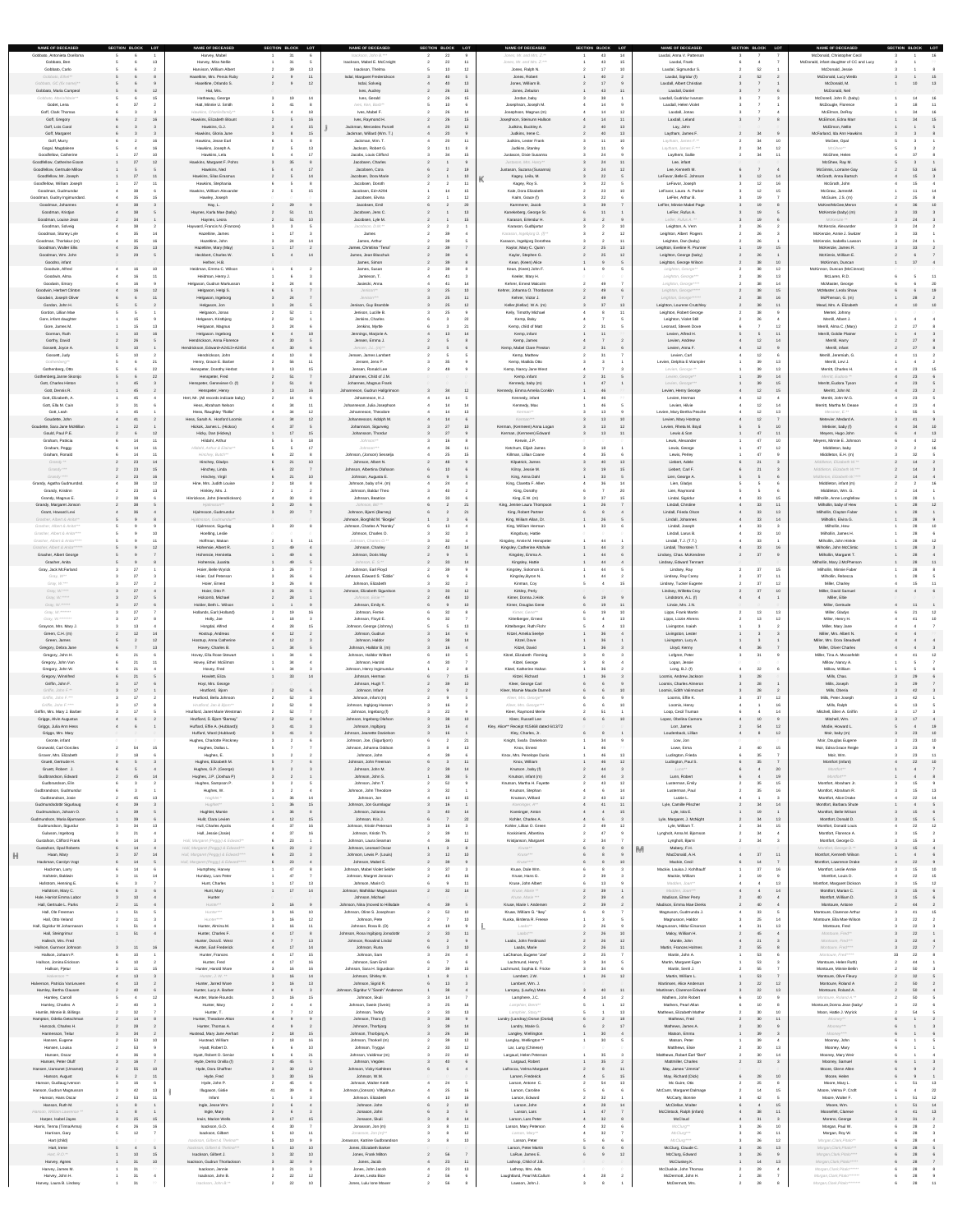| <b>NAME OF DECEASED</b><br>Gobbato, Antonieta Oselloma                                                                                                                                                                                                                                                                                                        | SECTION BLOCK LOT<br><b>NAME OF DECEASED</b><br>Harvey, Mabel           | SECTION BLOCK LOT                      | <b>NAME OF DECEASED</b><br>Isackson, John B.***            | SECTION BLOCK LOT<br>22 | <b>NAME OF DECEASED</b><br>Jones, Mr. and Mrs. Z.**              | SECTION BLOCK LOT<br>14<br>43                  | <b>NAME OF DECEASED</b><br>Laxdal, Anna V. Patterson    | SECTION BLOCK LOT     | <b>NAME OF DECEASED</b><br>McDonald, Christopher Cecil       | SECTION BLOCK LOT     |
|---------------------------------------------------------------------------------------------------------------------------------------------------------------------------------------------------------------------------------------------------------------------------------------------------------------------------------------------------------------|-------------------------------------------------------------------------|----------------------------------------|------------------------------------------------------------|-------------------------|------------------------------------------------------------------|------------------------------------------------|---------------------------------------------------------|-----------------------|--------------------------------------------------------------|-----------------------|
| Gobbato, Ben<br>Gobbato, Carlo                                                                                                                                                                                                                                                                                                                                | Harvey, Miss Nellie<br>Harvison, William Albert                         | 39                                     | Isackson, Mabel E. McCreight<br>Isackson, Thelma           |                         | Jones, Mr. and Mrs. Z.***<br>Jones, Ralph N.                     | -43                                            | Laxdal, Frank<br>Laxdal, Sigmundur S.                   | 52                    | McDonald, infant daughter of CC and Lucy<br>McDonald, Jessie |                       |
| Gobbato, Ethel**                                                                                                                                                                                                                                                                                                                                              | Haseltine, Mrs. Persis Ruby                                             |                                        | Isdal, Margaret Frederickson                               | 40                      | Jones, Robert                                                    |                                                | Laxdal, Sigridur (f)                                    | 52                    | McDonald, Lucy Webb                                          |                       |
| Gobbato, GC (fix name)**<br>Gobbato, Maria Campeol                                                                                                                                                                                                                                                                                                            | Haseltine, Orlando S.<br>Hat, Mrs.                                      |                                        | Isdal, Solveig<br>Ives, Audrey                             | -40<br>- 15<br>- 26     | Jones, William B.<br>Jones, Zebulon                              | 11<br>-43                                      | Laxdall, Albert Christian<br>Laxdall, Daniel            |                       | McDonald, M.<br>McDonald, Neil                               | 13                    |
| Gobbato, Mario/Marie**<br>Godet, Lena                                                                                                                                                                                                                                                                                                                         | Hathaway, George<br>Hatt, Minnie U. Smith                               | 19<br>14                               | Ives, Gerald<br>Ives, Ken, Barb**                          | 15<br>10                | Jordan, baby<br>Josephson, Joseph M.                             |                                                | Laxdall, Gudridur Ivarson<br>Laxdall, Helen Violet      |                       | McDonell, John R. (baby)<br>McDougle, Florence               | 11                    |
| Goff, Clark Thomas<br>Goff, Gregory                                                                                                                                                                                                                                                                                                                           | Hawkins, Charlie/family**<br>Hawkins, Elizabeth Blount                  | 18<br>16                               | Ives, Mabel F.<br>Ives, Raymond H.                         | 26<br>26<br>15          | Josephson, Magnus (m)<br>Josephson, Steinunn Hallson             | 12<br>14<br>11<br>14                           | Laxdall, Jonas<br>Laxdall, Leland                       |                       | McElmon, DeRoy<br>McElmon, Edna Marr                         | 16<br>$\sim$ 15<br>34 |
| Goff, Lois Carol                                                                                                                                                                                                                                                                                                                                              | Hawkins, G.J.                                                           | 15                                     | Jackman, Mercedes Purcell                                  | 20                      | Judkins, Buckley A.                                              | 13                                             | Lay, John                                               |                       | McElmon, Nellie                                              |                       |
| Goff, Margaret<br>Goff, Murry                                                                                                                                                                                                                                                                                                                                 | Hawkins, Gloria June<br>Hawkins, Jesse Earl                             |                                        | Jackman, Willard (Wm. T.)<br>Jackman, Wm. T.               | 20                      | Judkins, Irene C.<br>Judkins, Lester Frank                       | 13<br>10                                       | Laytham, James F.<br>Laytham, James F.**                |                       | McFarland, Ida Ann Hawkins<br>McGee, Opal                    |                       |
| Gogal, Magdalene<br>Goodfellow, Catherine                                                                                                                                                                                                                                                                                                                     | Hawkins, Joseph A.<br>Hawkins, Lela                                     |                                        | Jackson, Robert G.<br>Jacobs, Louis Clifford               | -15                     | Judkins, Stanley<br>Justason, Dixie Susanna                      |                                                | Laytham, James F.***<br>Laythem, Sallie                 | 12                    | McGhee**<br>McGhee, Helen                                    |                       |
| Goodfellow, Catherine Esson<br><b>Goodfellow, Gertrude Millow</b>                                                                                                                                                                                                                                                                                             | Hawkins, Margaret F. Pohrs<br>12 <sup>7</sup><br>Hawkins, Ned           | 35                                     | Jacobsen, Charles<br>Jacobsen, Cora                        | 19                      | Justason, Mrs. Harry**<br>Justason, Suzana (Susanna)             | 11<br>12                                       | Lee, infant<br>Lee, Kenneth M.                          |                       | McGhee, Ray M.<br>McGinnis, Lorraine Gay                     | 16                    |
| Goodfellow, Mr. Joseph                                                                                                                                                                                                                                                                                                                                        | Hawkins, Silas Erasmus<br>11                                            |                                        | Jacobsen, Dora Marie                                       |                         | Kagey, Leila, M.                                                 |                                                | LeFavor, Belle E. Johnson                               | 12<br>-14             | McGrath, Anna Bartsch                                        |                       |
| Goodfellow, William Joseph<br>Goodman, Gudmundar                                                                                                                                                                                                                                                                                                              | Hawkins, Stephania<br>$-11$<br>Hawkins, William Alexander               | 15                                     | Jacobsen, Doroth<br>Jacobsen, Ed+A294                      |                         | Kagey, Roy S.<br>Kale, Dora Elizabeth                            | 10                                             | LeFavor, Joseph<br>LeFavor, Laura A. Parker             | 15                    | McGrath, John<br>McGraw, JamesM.                             |                       |
| Goodman, Gudny Ingimundard.<br>Goodman, Johannes                                                                                                                                                                                                                                                                                                              | Hawley, Joseph<br>Hay, L.                                               | 29                                     | Jacobsen, Elvina<br>Jacobsen, Emil                         | 20                      | Kalm, Grace (f)<br>Kammerer, Jacob                               |                                                | LeFler, Arthur B.<br>LeFler, Minnie Mabel Page          | 19                    | McGuire, J.S. (m)<br>McKee/McGee, Meron                      | 36 10                 |
| Goodman, Kristjan                                                                                                                                                                                                                                                                                                                                             | Haynes, Karla Mae (baby)                                                | 51                                     | Jacobsen, Jens C.                                          | 13                      | Kanekeberg, George Sr.                                           |                                                | LeFler, Rufus A.                                        |                       | McKenzie (baby) (m)                                          |                       |
| Goodman, Louise Jean<br>Goodman, Solveig                                                                                                                                                                                                                                                                                                                      | Haynes, Leora<br>Hayward, Francis N. (Frances)                          | 51<br>10                               | Jacobsen, Lyle M.<br>Jacobson, D.M.**                      | 15                      | Karason, Erlendur H.<br>Karason, Gudbjartur                      | 10                                             | Lefler, Rufus A. **<br>Leighton, A. Vern                | 19<br>26              | McKenzie **<br>McKenzie, Alexander                           | 24 3                  |
| Goodman, Stoney Lyle<br>Goodman, Thorlakur (m)                                                                                                                                                                                                                                                                                                                | Hazeltine, James<br>Hazeltine, John                                     | 17<br>24                               | James<br>James, Arthur                                     |                         | Karason, Ingebjorg D. (f)**<br>Karason, Ingebjorg Dorothea       | 12                                             | Leighton, Albert Rogers<br>Leighton, Dan (baby)         | 26                    | McKenzie, Annie J. Switzer<br>McKenzie, Isabella Lawson      |                       |
| Goodman, Walter Ellis<br>Goodman, Wm. John                                                                                                                                                                                                                                                                                                                    | Hazeltine, Mary (May)<br>13<br>Heckbert, Charles W.                     | 14                                     | James, Christina "Tena"<br>James, Jean Blaschuk            |                         | Kaylor, Mary C. Quinn<br>Kaylor, Stephen G.                      | 13<br>12 <sup>°</sup>                          | Leighton, Eveline R. Prunner<br>Leighton, George (baby) | 15<br>19              | McKenzie, James R.<br>McKinnis, William E.                   |                       |
| Goodno, infant                                                                                                                                                                                                                                                                                                                                                | Hefner, H.B.                                                            |                                        | James, Simon                                               |                         | Kean, (Keen) Alice                                               |                                                | Leighton, George Wilson                                 | 10                    | McKinnon, Duncan                                             |                       |
| Goodwin, Alfred<br>Goodwin, Alma                                                                                                                                                                                                                                                                                                                              | Heidman, Emma C. Wilson<br>10<br>Heidman, Henry J.<br>$-11$             |                                        | James, Susan<br>Jamieson, T.                               | 41                      | Kean, (Keen) John F.<br>Keeler, Mary H.                          |                                                | Leighton, George**<br>Leighton, George***               | 12<br>13              | McKinnon, Duncan (McCinnon)<br>McLaren, R.D.                 | $-11$                 |
| Goodwin, Emory<br>Goodwin, Herbert Clinton                                                                                                                                                                                                                                                                                                                    | Helgason, Gudrun Markusson<br>Helgason, Helgi S.<br>12                  | 24                                     | Jasiecki, Anna<br>Jenison**                                | 25<br>10                | Kehrer, Ernest Malcolm<br>Kehrer, Johanna O. Thordarson          |                                                | Leighton, George****<br>Leighton, George*****           | 15                    | McMaster, George<br>McMaster, Leola Shaw                     | 19                    |
| Goodwin, Joseph Oliver                                                                                                                                                                                                                                                                                                                                        | Helgason, Ingeborg<br>$-11$                                             | 24                                     | Jenison***                                                 | 25                      | Kehrer, Victor J.                                                | 27                                             | Leighton, George******                                  | 16                    | McPherson, G. (m)                                            |                       |
| Gordon, John H.<br>Gordon, Lillian Mae                                                                                                                                                                                                                                                                                                                        | Helgason, Jon<br>Helgason, Jonas                                        | 24<br>52                               | Jenison, Guy Bramble<br>Jenison, Lucille B.                | 25<br>12                | Keller,(Kellar) W.A. (m)<br>Kelly, Timothy Michael               | 13<br>11                                       | Leighton, Lourene Crutchley<br>Leighton, Robert George  |                       | Mead, Mrs. A. Elizabeth<br>Mentel, Johnny                    | 10 10                 |
| Gore, infant daughter<br>Gore, James M.                                                                                                                                                                                                                                                                                                                       | Helgason, Kristbjorg<br>13<br>Helgason, Magnus                          | 52<br>24                               | Jenkins, Charles<br>Jenkins, Myrtle                        | 21                      | Kemp, Baby<br>Kemp, child of Matt                                | 31                                             | Leighton, Violet Still<br>Leonard, Steven Dove          | 26<br>12              | Merrill, Albert J.<br>Merrill, Alma C. (Mary)                |                       |
| Gorman, Ruth<br>Gorthy, David                                                                                                                                                                                                                                                                                                                                 | Helgason. Ingeborg<br>Hendrickson, Anna Florence                        | 18<br>30                               | Jennings, Marjorie A.<br>Jensen, Emma J.                   | 13                      | Kemp, infant<br>Kemp, James                                      | 11                                             | Levien, Alfred H.<br>Levien, Andrew                     | 11                    | Merrill, Goldie Platner<br>Merrill, Harry                    |                       |
| Gossett, Joyce A.                                                                                                                                                                                                                                                                                                                                             | Hendrickson, Edward+A2413+A2454                                         | 30                                     | Jensen, J.L. $(m)$ **                                      |                         | Kemp, Mabel Clare Preston                                        |                                                | Levien, Anna F.                                         | 12                    | Merrill, infant                                              | 27                    |
| Gossett, Judy<br>Gothenberg**                                                                                                                                                                                                                                                                                                                                 | Hendrickson, John<br>Henry, Grace E. Barber                             | 10<br>56                               | Jensen, James Lambert<br>Jensen, Jens P.                   |                         | Kemp, Mathew<br>Kemp, Matilda Otto                               |                                                | Levien, Carl<br>Levien, Delphia E Wampler               | -13                   | Merrill, Jeremiah, G.<br>Merrill, Levi J.                    |                       |
| Gothenberg, Otto<br>Gothenberg, Janne Skorsjo                                                                                                                                                                                                                                                                                                                 | Henspeter, Dorothy Herbst<br>Henspeter, Fred                            | 51                                     | Jensen, Ronald Lee<br>Johannes, Child of J.M.              |                         | Kemp, Nancy Jane West<br>Kemp. infant                            |                                                | Levien, George **<br>Levien, George**                   | $\sqrt{14}$           | Merritt, Charles H.<br>Merritt, Eudora **                    |                       |
| <b>Gott, Charles Hinton</b>                                                                                                                                                                                                                                                                                                                                   | Henspeter, Genevieve O. (f)                                             | 51                                     | Johannes, Magnus Frank                                     |                         | Kennedy, baby (m)                                                |                                                | Levien, George***                                       | 15                    | Merritt, Eudora Tyson                                        |                       |
| Gott, Dennis R.<br>Gott, Elizabeth, A.                                                                                                                                                                                                                                                                                                                        | Henspeter, Henry<br>- 45<br>Hert, Mr. (All records indicate baby)       | 13<br>16                               | Johanneson, Gudrun Hallgrimson<br>Johanneson, H.J.         | 34<br>12                | Kennedy, Emma Amelia Conklin<br>Kennedy, infant                  |                                                | Levien, Henry George<br>Levien, Herman                  | 12<br>15<br>12        | Merritt, John M.<br>Merritt, John W.G.                       | 23                    |
| Gott, Ella M. Cain<br>Gott, Leah                                                                                                                                                                                                                                                                                                                              | Hess, Abraham Nelson<br>Hess, Raughley "Rollie"                         | 34                                     | Johanneson, Julia Josephson<br>Johanneson, Theodore        |                         | Kennedy, Max<br>Kerman**                                         | 13                                             | Levien, Hilvie<br>Levien, Mary Bertha Pesche            | 12<br>13              | Merritt, Martha M. Dease<br>Messner, E.**                    |                       |
| Goudette, John<br>Goudette, Sara Jane McMillan                                                                                                                                                                                                                                                                                                                | Hess, Sarah A. Hosford Loomis<br>Hickok, James L. (Hickox)              | 34<br>12<br>37                         | Johannesson, Adolph M.<br>Johannson, Sigurveig             | 14<br>27<br>10          | Kerman***<br>Kerman, (Kermeen) Anna Logan                        | 10<br>13 <sup>°</sup><br>12<br>13 <sup>7</sup> | Levien, Mary Hostrup<br>Levien, Rheta M. Boyd           | 12<br>10              | Metevier, Medard A.<br>Metivier, baby (f)                    | 10                    |
| Gould, Paul P.E.                                                                                                                                                                                                                                                                                                                                              | Hicky, Dan (Hickey)<br>12 <sup>°</sup>                                  | 17                                     | Johansson, Thordur                                         |                         | Kerman, (Kermeen) Edward                                         | 13 <sup>°</sup><br>11                          | Lewis & Son                                             |                       | Meyers, Hugo John                                            | 13                    |
| Graham, Patricia<br>Graham, Peggy                                                                                                                                                                                                                                                                                                                             | Hildahl, Arthur<br>$-11$<br>Hildahl, Arthur & Elaine**<br>$-11$         | 17                                     | Johnson**<br>Johnson***                                    |                         | Kerwin, J.P.<br>Ketchum, Elijah James                            | 18                                             | Lewis, Alexander<br>Lewis, George                       | 10<br>12              | Meyers, Minnie E. Johnson<br>Middleton, baby                 |                       |
| Graham, Ronald<br>Grandy **                                                                                                                                                                                                                                                                                                                                   | Hinchey, Butch**<br>$-11$<br>Hinchey, Gladys<br>14                      | 22<br>10                               | Johnson, (Jonson) Sesselja<br>Johnson, Albert N.           | 48                      | Killman, Lillian Coane<br>Kilpatrick, James                      | 13                                             | Lewis, Perley<br>Liebert, Adele                         |                       | Middleton, E.H. (m)<br>Middleton, Elizabeth W.**             |                       |
| $\begin{picture}(180,10) \put(0,0){\line(1,0){10}} \put(10,0){\line(1,0){10}} \put(10,0){\line(1,0){10}} \put(10,0){\line(1,0){10}} \put(10,0){\line(1,0){10}} \put(10,0){\line(1,0){10}} \put(10,0){\line(1,0){10}} \put(10,0){\line(1,0){10}} \put(10,0){\line(1,0){10}} \put(10,0){\line(1,0){10}} \put(10,0){\line(1,0){10}} \put(10,0){\line($<br>Grandy | Hinchey, Linda<br>$\sim$ $\sim$ $\sim$ $\sim$<br>$\sim$                 | 22<br>$\sim$ $\sim$ $\sim$             | Johnson, Albertina Olafsson                                | $\overline{10}$         | Kilroy, Jessie M.                                                | $\overline{a}$                                 | Liebert, Carl F.                                        |                       | Middleton, Elizabeth W.                                      |                       |
| Grandy ****<br>Grandy, Agatha Gudmundsd.                                                                                                                                                                                                                                                                                                                      | Hinchey, Virgil<br>$\sim$ 23<br>Hine, Mrs. Judith Louise<br>12          | 10<br>18                               | Johnson, Augusta E.<br>Johnson, baby of H. (m)             |                         | King, Anna Dahl<br>King, Claretta F. Allen                       | 33<br>14                                       | Lien, George A.<br>Lien, Gladys                         |                       | Middleton, Elizabeth W.****<br>Middleton, infant (m)         | $14$ 4                |
| Grandy, Kristinn<br>Grandy, Magnus E.                                                                                                                                                                                                                                                                                                                         | Hinkley, Mrs. J.<br>13<br>Hinrickson, John (Hendrickson)                | 30                                     | Johnson, Baldur Theo<br>Johnson, Beatrice                  | 40                      | King, Dorothy<br>King, E.W. (m)                                  |                                                | Lien, Raymond<br>Lindal, Sigridur                       | 15                    | Middleton, Wm. G.<br>Milhollin, Anne Longfellow              |                       |
| Grandy, Margaret Jonson<br>Grant, Howard Levi                                                                                                                                                                                                                                                                                                                 | Hjalmsson**<br>Hjalmsson, Gudmundur                                     | 20<br>20                               | Johnson, Bill **<br>Johnson, Bjarni (Barney)               | 21<br>21                | King, Jennie Laura Thompson<br>King, Robert Partner              |                                                | Lindall, Chrstine<br>Lindall, Frieda Olson              | 11<br>13              | Milhollin, baby of Hew<br>Milhollin, Clayton Faber           | $\overline{12}$       |
| Grasher, Albert & Anita**                                                                                                                                                                                                                                                                                                                                     | Hjalmsson, Gudmundur**                                                  |                                        | Johnson, Borghild M. "Borgie"                              |                         | King, Wiliam Allan, Dr.                                          |                                                | Lindall, Johannes                                       | 33<br>14              | Milhollin, Elvira G.                                         |                       |
| Grasher, Albert & Anita***<br>Grasher, Albert & Anita****                                                                                                                                                                                                                                                                                                     | Hjalmsson, Sigurlag<br>Hoelting, Leslie                                 | 20                                     | Johnson, Charles A."Norsky"<br>Johnson, Charles O.         | 32                      | King, William Herman<br>Kingsbury, Hattie                        |                                                | Lindall, Joseph<br>Lindall, Larus B.                    | 10                    | Milhollin, Hew<br>Milhollin, James H.                        | $\overline{10}$       |
| Grasher, Albert & Anita*****<br>Grasher, Albert & Anita******                                                                                                                                                                                                                                                                                                 | Hoffman, Makan<br>$-11$<br>Hohensie, Albert R.<br>$\Lambda$             | 49                                     | Johnson, Charles O.**<br>Johnson, Charley                  | 43<br>14                | Kingsley, Annie M. Henspeter<br>Kingsley, Catherine Altshule     | 44<br>44                                       | Lindall, T.J. (T.T.}<br>Lindall, Thorstein T.           | 16                    | Milhollin, John Hinkle<br>Milhollin, John McClintic          | 12                    |
| <b>Grasher, Albert George</b><br>Grasher, Anita                                                                                                                                                                                                                                                                                                               | Hohensie, Henrietta<br>Hohensie, Juanita                                | 49<br>49                               | Johnson, Doris May<br>Johnson, E. S.**                     | 33                      | Kingsley, Emma A.<br>Kingsley, Hattie                            | 44<br>44                                       | Lindsey, Chas. McKendree<br>Lindsey, Edward Tennant     |                       | Milhollin, Margaret T.<br>Milhollin, Mary J.McPherson        | 28 11                 |
| Gray, Jack McFarland                                                                                                                                                                                                                                                                                                                                          | Hoier, Belle Wyrick                                                     | 26                                     | Johnson, Earl Floyd                                        |                         | Kingsley, Solomon G.                                             |                                                | Lindsey, Ray                                            | רמ<br>15              | Milhollin, Minnie Faber                                      |                       |
| Gray, W**<br>Gray, W.***                                                                                                                                                                                                                                                                                                                                      | Hoier, Carl Peterson<br>Hoier, Ernest                                   | 26<br>26                               | Johnson, Edward S. "Eddie"<br>Johnson, Elizabeth           |                         | Kingsley, Byron N.<br>Kinman, Coy                                | 44<br>15                                       | Lindsey, Ray Carey<br>Lindsey, Tucker Eugene            | $\sim$<br>12          | Milhollin, Rebecca<br>Miller, Charley                        |                       |
| Gray, W.****<br>Gray, W. *****                                                                                                                                                                                                                                                                                                                                | $\sim$ 27<br>Hoier, Otto P.<br>Holcomb, Michael                         | 26<br>28                               | Johnson, Elizabeth Sigurdson<br>Johnson, Elsie **          | 33<br>12<br>10          | Kirkley, Perly<br>Kirner, Donna J.Hink                           |                                                | Lindsey, Willetta Croy<br>Lindstrom, A.L. (f)           | - 27<br>10            | Miller, David Samuel<br>Miller, Eltie                        |                       |
| Gray, W. ******                                                                                                                                                                                                                                                                                                                                               | Holder, Beth L. Wilson<br>27                                            |                                        | Johnson, Emily K.                                          | 10                      | Kirner, Douglas Gene                                             | 11                                             | Linsie, Mrs. J.N.                                       |                       | Miller, Gertrude                                             | 11                    |
| Gray, W. *******<br>Gray, W.********                                                                                                                                                                                                                                                                                                                          | Hollands, Earl (Holland)<br>Holly, Joe                                  | 16<br>18                               | Johnson, Fernie<br>Johnson, Floyd E.                       |                         | Kirner, Gene**<br>Kittelberger, Ernest                           | 13                                             | Lipps, Frank Martin<br>Lipps, Lizzie Ahrens             | 12                    | Miller, Gladys<br>Miller, Henry H.                           | 10                    |
| Grayson, Mrs. Mary J.<br>Green, C.H. (m)                                                                                                                                                                                                                                                                                                                      | Horgdal, Alfred<br>Hostrup, Andreas<br>12 <sup>7</sup><br>14            | 28<br>12<br>$4 \quad$                  | Johnson, George (Johnny)<br>Johnson, Gudrun                | 14                      | Kittelberger, Ruth Flohr<br>Kitzel, Amelia Seelye                |                                                | Livingston, Isaiah<br>Livingston, Lester                |                       | Miller, Mary Jane<br>Miller, Mrs. Albert N.                  |                       |
| Green, James<br>Gregory, Debra Jane                                                                                                                                                                                                                                                                                                                           | Hostrup, Anna Catherine<br>12<br>Hovey, Charles B.<br>13                | 12<br>34                               | Johnson, Haldor<br>Johnson, Halldor B. (m)                 | 16                      | Kitzel, Dave<br>Kitzel, David                                    |                                                | Livingston, Lucy A.<br>Lloyd, Kenny                     | 36                    | Miller, Mrs. Dora Steadwell<br><b>Miller, Oliver Charles</b> |                       |
| Gregory, John H.                                                                                                                                                                                                                                                                                                                                              | Hovey, Ella Rose Stewart                                                |                                        | Johnson, Halldor Wilbert                                   |                         | Kitzel, Elizabeth Fleming                                        |                                                | Lofgren, Peter                                          |                       | Miller, Tina A. Moosefeldt                                   | $\overline{12}$       |
| Gregory, John Van<br>Gregory, John W.                                                                                                                                                                                                                                                                                                                         | Hovey, Ethel McElmon<br>$-11$<br>Hovey, Fred                            | -34                                    | Johnson, Harold<br>Johnson, Henry Ingimundur               |                         | Kitzel, George<br>Kitzel, Katherine Hahan                        |                                                | Logan, Jessie<br>Long, B.J. (f)                         |                       | Millow, Nancy A.<br>Millow, William                          |                       |
| Gregory, Winnifred<br>Griffin, John F.                                                                                                                                                                                                                                                                                                                        | Howlett, Eliza<br>Hoyt, Mrs. George                                     | 33<br>14                               | Johnson, Herman<br>Johnson, Hugh T.                        | - 15<br>10              | Kitzel, Richard<br>Kleer, George Carl                            |                                                | Loomis, Andrew Jackson<br>Loomis, Charles Almeron       | 28                    | Mills, Chas.<br>Mills, Joseph                                |                       |
| Griffin, John F.**<br>Griffin, John F.***                                                                                                                                                                                                                                                                                                                     | Hrutfiord, Bjorn<br>Hrutfiord, Bella Johnson<br>17                      | 52<br>52                               | Johnson, Infant<br>Johnson, infant (m)                     |                         | Kleer, Mamie Maude Darnell<br>Kleer, Mrs. George**               |                                                | Loomis, Edith Valinncourt<br>Loomis, Effie K.           | 28<br>12              | Mills, Oberia<br>Mills, Peter Joseph                         | 42                    |
| Griffin, John F.****                                                                                                                                                                                                                                                                                                                                          | Hrutfiord, Jan & Bjorn**<br>17                                          | 52                                     | Johnson, Ingbjorg Hansen                                   |                         | Kleer, Mrs. George***                                            |                                                | Loomis, Henry                                           | 16                    | Mills, Ralph                                                 |                       |
| Griffin, Mrs. Mary J. Barber<br>Griggs, Alvin Augustus                                                                                                                                                                                                                                                                                                        | Hrutfiord, Janet Marie Westman<br>Hrutfiord, S. Bjorn "Barney"          | 52<br>52                               | Johnson, Ingeborg (f)<br>Johnson, Ingeborg Olafson         | 38<br>10                | Kleer, Raymond Merle<br>Kleer, Russell Lee                       | 10                                             | Loop, Cecil Truman<br>Lopez, Obelina Camora             | - 14                  | Mitchell, Ellen A. Griffin<br>Mitchell, Wm.                  |                       |
| Griggs, Julia Ann Hess<br>Griggs, Mrs. Mary                                                                                                                                                                                                                                                                                                                   | Huffard, Effie A. (Hubbard))<br>Huffard, Ward (Hubbard)                 |                                        | Johnson, Ingibjorg<br>Johnson, Jeanette Danielson          |                         | Kley, Alice** Receipt #15468 dated 6/13/72<br>Kley, Charles, Jr. |                                                | Lorr, James<br>Loudenback, Lillian                      | 54<br>12              | Modie, Howard L.<br>Moir, baby (m)                           | 19<br>23 10           |
| Gronte, infant                                                                                                                                                                                                                                                                                                                                                | Hughes, Charlotte Pinckney                                              |                                        | Johnson, Joe, (Sigurbjorn)                                 |                         | Knight, Svafa Danielson                                          |                                                | Low, Jon                                                |                       | Moir, Douglas Eugene                                         |                       |
| <b>Gronwold, Carl Oorclies</b><br>Grover, Mrs. Elizabeth                                                                                                                                                                                                                                                                                                      | Hughes, Dallas L.<br>Hughes, E.                                         |                                        | Johnson, Johanna Oddson<br>Johnson, John                   |                         | Knox, Ernest<br>Knox, Mrs. Penelope Dunis                        | 13                                             | Lowe, Erma<br>Ludington, Frieda                         | 15                    | Moir, Edna Grace Reigle<br>Moir, Wm.                         |                       |
| Gruett, Gertrude H.<br>Gruett, Robert J.                                                                                                                                                                                                                                                                                                                      | Hughes, Elizabeth M.<br>Hughes, G.P. (George)                           |                                        | Johnson, John Freeman<br>Johnson, John M.                  |                         | Knox, William<br>Knutson, baby (f)                               | 12<br>-44                                      | Ludington, Paul S.<br>$Lunn**$                          | 20                    | Montfort (infant)<br>Montfort**                              | 22<br>10              |
| Gudbrandson, Edward<br>Gudbrandson, Elin                                                                                                                                                                                                                                                                                                                      | Hughes, J.P. (Joshua P)<br>14<br>- 45<br>Hughes, Sampson P.             |                                        | Johnson, John S.<br>Johnson, John T.                       |                         | Knutson, infant (m)<br>Knutson, Martha H. Fayette                | 44<br>12<br>43                                 | Lunn, Robert<br>Lusterman, Emily                        | 19<br>15              | Montfort***<br>Montfort, Abraham Jr.                         |                       |
| Gudbrandson, Gudmundur<br>Gudbrandson, Josie                                                                                                                                                                                                                                                                                                                  | Hughes, W.<br>Hughlet *                                                 | 36<br>14                               | Johnson, John Theodore<br>Johnson, Jon                     |                         | Knutson, Stephan<br>Knutson, Willard                             | 14<br>12<br>-43.                               | Lusterman, Paul<br>Lutzie L.                            | 16                    | Montfort, Abraham R.<br>Montfort, Alice Drake                |                       |
| Gudmundsdottir Sigurlaug                                                                                                                                                                                                                                                                                                                                      | Hughlet**                                                               | 36<br>15                               | Johnson, Jon Gunnlagur                                     | 16                      | Koeninger, A**                                                   | 11                                             | Lyle, Camille Pilscher                                  | - 34<br>14            | Montfort, Barbara Shute                                      |                       |
| Gudmundson, Johann O.<br>Gudmundson, Maria Bjarnason                                                                                                                                                                                                                                                                                                          | Hughlet, Mamie<br>Hulit, Clara Levien                                   | 36<br>12                               | Johnson, Julianna<br>Johnson, Kris J.                      | 40<br>22                | Koeninger, Anton<br>Kohler, Charles A.                           |                                                | Lyle, Iola E.<br>Lyle, Margaret, J. McNight             |                       | Montfort, Belle Wilson<br>Montfort, Donald D.                |                       |
| Gudmundson, Sigurdur<br>Gulason, Ingeborg                                                                                                                                                                                                                                                                                                                     | Hull, Charles Apolis<br>Hull, Jessie (Josie)                            | 16                                     | Johnson, Kristin Peterson<br>Johnson, Kristin Th.          |                         | Kohler, Lillian O. Green<br>Koskiniemi, Albertina                | 12 <sup>°</sup>                                | Lyle, William T.<br>Lyngholt, Anna M. Bjornson          | 15                    | Montfort, Donald Louis<br>Montfort, Florence A.              | 22<br>12              |
| <b>Gustafson, Clifford Frank</b><br><b>Gustafson, Opal Roberts</b>                                                                                                                                                                                                                                                                                            | Hull, Margaret (Peggy) & Edward**<br>Hull, Margaret (Peggy) & Edward*** | 23<br>23                               | Johnson, Laura Seaman<br>Johnson, Leonard Oscar            |                         | Kristjanson, Margaret<br>Kruse**                                 |                                                | Lyngholt, Bjarni<br>M<br>Mabery, F.H.                   |                       | Montfort, George D.<br>Montfort, George D.**                 |                       |
| Haan, Mary                                                                                                                                                                                                                                                                                                                                                    | Hull, Margaret (Peggy) & Edward****<br>14                               | 23                                     | Johnson, Lewis P. (Louis)                                  | 12<br>10                | Kruse***                                                         |                                                | MacDonald, A.H.                                         | 11                    | Montfort, Kenneth Wilson                                     |                       |
| Hackman, Carolyn Vogt<br>Hackman, Larry                                                                                                                                                                                                                                                                                                                       | Hull, Margaret (Peggy) & Edward*****<br>Humphrey, Harvey                | 23<br>47                               | Johnson, Mabel E.<br>Johnson, Mabel Violet Selder          |                         | Kruse****<br>Kruse, Dale Wm.                                     |                                                | Mackie, Cecil<br>Mackie, Louisa J. Kohlhauff            | 27<br>16              | Montfort, Lawrence Drake<br>Montfort, Leslie Annie           | 22<br>10              |
| Hafstein, Baldwin<br>Hafstrom, Henning E.                                                                                                                                                                                                                                                                                                                     | Hundary, Lars Peter<br>14<br>Hunt, Charles                              | 47<br>17                               | Johnson, Margret Jonsson<br>Johnson, Marin O.              | 43<br>16                | Kruse, Hans G.<br>Kruse, John Albert                             |                                                | Mackie, William<br>Madden, Joan**                       | 19<br>-13             | Montfort, Louis D.<br>Montfort, Margaret Dickson             |                       |
| Hafstrom, Mary C.<br>Hale, Harriot Emma Labor                                                                                                                                                                                                                                                                                                                 | Hunt, Mary<br>Hunter                                                    | 14                                     | Johnson, Mathildur Magnusson<br>Johnson, Michael           | 32                      | Kruse, Marie **<br>Kruse, Marie ***                              |                                                | Madden, Joan***<br>Madison, Elmer Perry                 | 14<br>40              | Montfort, Marian C.<br>Montfort, William D.                  | 15                    |
| Hall, Gertrude L. Parks                                                                                                                                                                                                                                                                                                                                       | Hunter**<br>11                                                          | 16                                     | Johnson, Nina (moved to Hillsdale                          | 39                      | Kruse, Marie I. Andersen                                         |                                                | Madison, Emma Mae Dierks                                | 40                    | Montoure, Antone                                             | 44 2                  |
| Hall, Ole Freeman<br>Hall, Otto Veland                                                                                                                                                                                                                                                                                                                        | Hunter***<br>Hunter****                                                 |                                        | Johnson, Oline S. Josephson<br>Johnson, Pete               | 10                      | Kruse, William G. "Ikey"<br>Kuska, Birdena R. Freese             |                                                | Magnuson, Gudmunda J.<br>Magnusson, Haldor              | <b>∠</b>              | Montoure, Clarence Arthur<br>Montoure, Ella Mae Wilson       |                       |
| Hall, Sigridur W.Johannason<br>Hall, Steingrimur                                                                                                                                                                                                                                                                                                              | Hunter, Almina M.<br>Hunter, Charles F.<br>$1 \qquad 51$                |                                        | Johnson, Rosa B. (D)<br>Johnson, Rosa Ingibjorg Jonsdottir | 33                      | Laabs**<br>Laabs***                                              | 10                                             | Magnusson, Hildur Einarson<br>Maloy, William H.         | 45                    | Montoure, Fred<br>Montoure, Fred**                           | 22                    |
| Hallech, Mrs. Fred                                                                                                                                                                                                                                                                                                                                            | Hunter, Dora E. West                                                    | 13                                     | Johnson, Rosalind Lindal                                   |                         | Laabs, John Ferdinand                                            | 12                                             | Mantle, John                                            |                       | Montoure, Fred***                                            |                       |
| Hallson, Gunnvor Johnson<br>Hallson, Johann P.                                                                                                                                                                                                                                                                                                                | Hunter, Earl Frederick<br>16<br>Hunter, Frances                         | 17<br>$\overline{4}$<br>$\overline{4}$ | Johnson, Runa<br>Johnson, Sam                              | 10                      | Laabs, Marie<br>LaChance, Eugene "Joe"                           | 11<br>25                                       | Martin, Frances Holmes<br>Martin, John A.               | 55<br>53              | Montoure, Fred****<br>Montoure, Fred*****                    | 33                    |
| Hallson, Jonina Erickson<br>Hallson, Pjetur                                                                                                                                                                                                                                                                                                                   | Hunter, Fred<br>Hunter, Harold Ware                                     | 16<br>16                               | Johnson, Sam Emil<br>Johnson, Sara H. Sigurdson            |                         | Lachmund, Henry T.<br>Lachmund, Sophia E. Fricke                 |                                                | Martin, Margaret Egan<br>Martin, Serril J.              | 53<br>55              | Montoure, Helen Ruth)<br>Montoure, Minnie Bellin             |                       |
| Halverson **<br>Halverson, Patricia VanLeuven                                                                                                                                                                                                                                                                                                                 | Hunter, J. W. **<br>Hunter, Jarred Ware                                 | 16<br>14                               | Johnson, Shirley M.<br>Johnson, Sigrid R.                  |                         | Lambert, J.W.<br>Lambert, Wm. J.                                 | 12                                             | Martin, William L.<br>Martinsen, Alice Anderson         | 53                    | Montoure, Olive Fleury<br>Montoure, Roland A                 |                       |
| Hamley, Bertha Clausen                                                                                                                                                                                                                                                                                                                                        | Hunter, Lucy A. Barber                                                  |                                        | Johnson, Sigridur V."Sarah" Anderson                       |                         | Lampey, (Laufey) Meta                                            | 11                                             | Martinsen, Clarence Edward                              | 13<br>22              | Montoure, Roland A.                                          | 50                    |
| Hamley, Carroll<br>Hamley, Charles A                                                                                                                                                                                                                                                                                                                          | Hunter, Marie Rounds<br>$\overline{10}$<br>Hunter, Mary                 | 16<br>15                               | Johnson, Skuli<br>Johnson, Swein (Svein)                   | - 16                    | Lamphere, J.C.<br>Lamphier, Brent**                              | 12                                             | Mathers, John Robert<br>Mathers, Pearl Allan            |                       | Montoure, Roland A.**<br>Montoure, Donna Jean (baby/         |                       |
| Hamlin, Minnie B. Billings<br>Hampton, Odelia Getschman                                                                                                                                                                                                                                                                                                       | Hunter, T.<br>Hunter, Theodore Alton<br>14                              |                                        | Johnson, Teddy<br>Johnson, Thora (f)                       | 38                      | Lamphier, Stacy**<br>Landry (Landray) Doran (Dorial)             | 13<br>-18                                      | Mathews, Elizabeth Mather<br>Mathews, Fred              | 30<br>10<br>30        | Moon, Hattie J. Wyrick<br>Mooney**                           |                       |
| Hancock, Charles H.                                                                                                                                                                                                                                                                                                                                           | Hunter, Thomas A.                                                       |                                        | Johnson, Thorbjorg                                         |                         | Landry, Marie G.                                                 | 17                                             | Mathews, James A.                                       |                       | Mooney***                                                    |                       |
| Hannesson, Teitur<br>Hansen, Eugene                                                                                                                                                                                                                                                                                                                           | Hustead, Mary Jane Aerhart<br>Hustead, William<br>53                    | 18<br>16                               | Johnson, Thorbjorg A.<br>Johnson, Thorkell (m)             | 12                      | Langley, Wellington<br>Langley, Wellington **                    |                                                | Matson, Emma<br>Matson, Peter                           |                       | Mooney****<br>Mooney, John                                   |                       |
| Hansen, Louisa<br>Hansen, Oscar                                                                                                                                                                                                                                                                                                                               | Hyatt, Robert D.<br>- 53<br>Hyatt, Robert O. Senior                     | 10                                     | Johnson, Tryggvi<br>Johnson, Valdimar (m)                  | 10                      | Lar, Lung (Chinese)<br>Largaud, Helen Peterson                   |                                                | Matthews, Elsie<br>Matthews, Robert Earl "Bert"         | 30<br>13<br>30<br>-14 | Mooney, Mary<br>Mooney, Mary Weir                            |                       |
| Hansen, Peter Oluff<br>Hansen, Uamanet (Umamet)                                                                                                                                                                                                                                                                                                               | Hyde, Demo Orvilla (f)<br>Hyde, Dora Shaffner                           | 45<br>30<br>12                         | Johnson, Vegdes<br>Johnson, Vicky Kathleen                 | 40                      | Largaud, Robert<br>LaRocca, Velma Margaret                       | 11                                             | Mattmiller, Charles<br>May, James "Jimmie"              | 33                    | Mooney, Samuel<br>Moore, Glenn Allen                         |                       |
| Hanson, August                                                                                                                                                                                                                                                                                                                                                | Hyde, Fred<br>11                                                        | 30<br>16                               | Johnson, W.M.                                              |                         | Larsen, Frederick                                                |                                                | May, Richard (Dick)                                     | 28<br>10              | Moore, Helen                                                 |                       |
| Hanson, Gudlaug Iverson<br>Hanson, Gudrun Magnusson                                                                                                                                                                                                                                                                                                           | Hyde, John P.<br>Illugason, Gislie                                      | 45<br>41<br>-39                        | Johnson, Walter Keith<br>Johnson, (Jonson) Vilhjalmun      | 16                      | Larson, Antone C.<br>Larson, Caroline                            | 13 <sup>°</sup>                                | Mc Guire, Otis<br>McCann, Margaret Dalmage              | 25<br>15              | Moore, Mary L.<br>Moore, Velma P. Croft                      |                       |
| Hanson, Hans Oscar<br>Hanson, Ruth M.                                                                                                                                                                                                                                                                                                                         | Infant<br>Ingle, Jesse Wm.                                              |                                        | Johnson. Elizabeth<br>Johnson. John                        | 10                      | Larson, Edward<br>Larson, John                                   | 14                                             | McCarty, Bonnie<br>McClellan, Walter                    | 15                    | Moore, Walter F.<br>Moore, Wm.                               | 14                    |
| Hanson, William Lawrence **                                                                                                                                                                                                                                                                                                                                   | Ingle, Mary<br>- 15                                                     | 15                                     | Jonason, John                                              |                         | Larson, Lars                                                     |                                                | McClintock, Ralph (infant)                              |                       | Moosefelt, Clarese                                           | 41 13<br>31 2         |
| Harper, Isabel Jayes<br>Harris, Tenna (Tinna/Anna)                                                                                                                                                                                                                                                                                                            | Irwin, Marion Wells<br>- 25<br>Isackson, G.O.                           | 30                                     | Jonason, Skuli<br>Jonasson, Jon (m)                        | -14                     | Larson, Lars Peter<br>Larson, Mary Peterson                      |                                                | <b>McCloud</b><br>McClurg**                             | 26<br>10              | Moreno, George<br>Morgan, Paul W.                            |                       |
| Harrison, Gary<br>Hart (child)                                                                                                                                                                                                                                                                                                                                | Isackson, Gilbert<br>Isackson, Gilbert & Thelma**                       | 10 <sup>°</sup>                        | Jonasson, Jon $(m)$ **<br>Jonasson, Katrine Gudbrandson    | 12                      | Larson, Mary**<br>Larson, Peter                                  |                                                | McClurg***<br>McClurg****                               | 26<br>26<br>12        | Morgan, Roy W.<br>Morgan, Clark, Pitalo**                    |                       |
| Hart, Irene<br>Hart, R.O.**                                                                                                                                                                                                                                                                                                                                   | Isackson, Gilbert & Thelma***<br>Isackson, Gilbert J.                   | 10<br>10 <sup>°</sup><br>10            | Jones, Elizabeth Barker<br>Jones, Frank Milton             | 56                      | Larson, Peter Martin<br>LaRue, James E.                          | 12                                             | McClurg, Claude C.<br>McClurg, Edward                   | 13<br>26<br>20        | Morgan, Clark, Pitalo***<br>Morgan, Clark, Pitalo****        |                       |
| Harvey, Agnes                                                                                                                                                                                                                                                                                                                                                 | Isackson, Gudrun Thorlackson<br>10 <sup>°</sup>                         | 32                                     | Jones, Jacob                                               | 23                      | Lathrop, Child of J.B.                                           |                                                | McCluskey, K.                                           | 13                    | Morgan, Clark, Pitalo*****                                   |                       |
| Harvey, James M.<br>Harvey, John H.                                                                                                                                                                                                                                                                                                                           | Isackson, Jennie<br>Isackson, John B.                                   | 2 22 12                                | Jones, John Jacob<br>Jones, Leota Bice                     | $\sim$                  | Lathrop, Mrs. Ada<br>Laughtland, Pearl McCallum                  |                                                | McCluskie, John Thomas<br>McDermott, John H.            |                       | Morgan, Clark, Pitalo******<br>Morgan, Clark, Pitalo*******  |                       |
| Harvey, Laura B. Lindsey                                                                                                                                                                                                                                                                                                                                      | 1 31 $?$                                                                | $Isackson, John B.***$ 2 2 10          | Jones, Lulu Ione Mower                                     | 2 56 8                  | Lawson, John J.                                                  |                                                | McDermott, Mrs.                                         | 28 8                  | Morgan, Clark, Pitalo********                                | 28 11                 |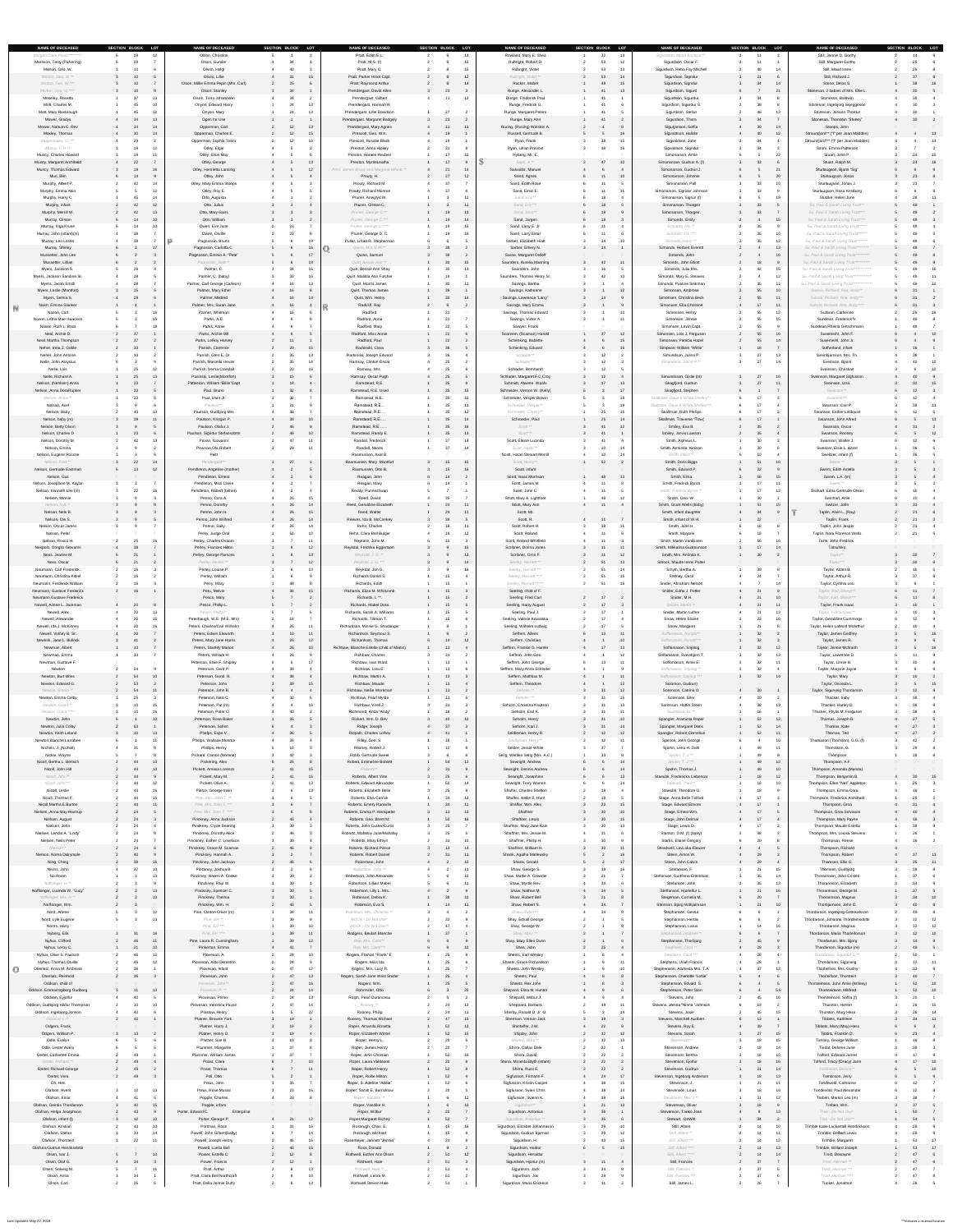| <b>NAME OF DECEASED</b><br>Morgan, Clark, Pitalo********* | SECTION BLOCK LOT<br>12         | <b>NAME OF DECEASED</b><br>Olson, Christine                     | SECTION BLOCK LOT         | <b>NAME OF DECEASED</b><br>Pratt, Edith E.L.             | SECTION BLOCK LOT<br>14 | <b>NAME OF DECEASED</b><br>Rowland, Mary E. Shea        | SECTION BLOCK LOT<br>13       | <b>NAME OF DECEASED</b><br>Sigurdson, Maria Erickson**                | SECTION BLOCK LOT | <b>NAME OF DECEASED</b><br>Still, Jennie D. Gorthy                                       | SECTION BLOCK LOT |
|-----------------------------------------------------------|---------------------------------|-----------------------------------------------------------------|---------------------------|----------------------------------------------------------|-------------------------|---------------------------------------------------------|-------------------------------|-----------------------------------------------------------------------|-------------------|------------------------------------------------------------------------------------------|-------------------|
| Morrison, Terry (Pickering)                               | - 28                            | Olson, Gunder                                                   |                           | Pratt, M.G. (f)                                          | 15                      | Rubright, Robert D.                                     | 53<br>12                      | Sigurdson, Oscar F.                                                   |                   | Still, Margaret Gorthy                                                                   |                   |
| Morton, Geo. W.<br>Morton, Geo. W.**                      | 10                              | Olson, Helgl<br>Olson, Lillie                                   | 15                        | Pratt, Mary G.<br>Pratt, Parker Hinot Capt.              | 15<br>12                | Rubright, Violet<br>Rubright, Violet **                 | 13<br>53<br>- 14              | Sigurdson, Reba Fay Mitchell<br>Sigurdson, Sigridur                   | 14                | Still, Maud Irene<br>Still, Richard J.                                                   |                   |
| Morton, Geo. W.***<br>Morton, Geo. W.****                 | 10                              | Olson, Millie Emma Pepin (Mrs. Carl)<br>Olson, Stanley          | -34                       | <b>Pratt, Raymond Arthur</b><br>Prendergast, David Allen | 23                      | Rucker, Mabel<br>Runge, Alexander L.                    |                               | Sigurdson, Sigridur.<br>Sigurdson, Sigurd                             | 21                | Stone, Delos S.<br>Stoneson, 2 babies of Mrs. Ellie L.                                   |                   |
| Moseley, Rosetta<br>Mott, Charles M.                      | $\mathbf{27}$<br>$-13$<br>$-10$ | Olson, Trina Johannson<br>Onyon, Edward Harry                   |                           | Prendergast, Gilbert<br>Prendergast, Hannah R.           | 12                      | Runge, Frederick Paul<br>Runge, Fredrick G.             |                               | Sigurdson, Sigurdur<br>Sigurdson, Sigurdur S.                         |                   | Stoneson, Baldwin<br>Stoneson, Ingebjorg Skjeggeson                                      |                   |
| Mott, Mary Rosbrough                                      | $-12$                           | Onyon, Mary                                                     |                           | Prendergast, Lillie Davidson                             | 27                      | Runge, Margaret Peters                                  |                               | Sigurdson, Stefan                                                     |                   | Stoneson, Johann Thordur                                                                 |                   |
| Mower, Gladys<br>Mower, Nahum C. Rev                      | - 34<br>$-13$<br>- 34<br>14     | Open for Use<br>Opperman, Carl                                  |                           | Prendergast, Margaret Badgely<br>Prendergast, Mary Agnes | 23                      | Runge, Mary Ann<br>Ruring, (Rusing) Winston A.          |                               | Sigurdson, Thora<br>Sigurjonson, Soffia                               |                   | Stoneson, Thorstein "Stoney"<br>Stoops, John                                             |                   |
| Moxley, Thomas<br>Mugermuller, C. **                      | 30<br>14<br>- 29                | Opperman, Charles E.<br>Opperman, Sophia Treirir                | 12                        | Prescott, Geo. Wm.<br><b>Prescott, Rosalie Black</b>     | 19                      | Russell, Gertrude B.<br>Ryan, Frank                     | 16<br>15                      | Sigvaldson, Halldor<br>Sigvaldson, John                               | 12                | Straumfjord** ("f" per Joan Madden)<br>Straumfjord*** ("f" per Joan Madden)              | $\sim$ 13         |
| Muncy, C.H.**<br>Muncy, Charles Howard                    | 12<br>$-11$                     | Otley, Elgie<br>Otley, Elsie May                                |                           | Preston, Anna Hickey<br>Preston, Horace Reuben           | 10                      | Ryan, Lillian Prevost<br>Ryberg, Mr. E.                 |                               | Sigvaldson, Sigridur<br>Simonarson, Arnie                             |                   | Strom, Emma Patterson<br>Stuart, John P.                                                 |                   |
| Muncy, Margaret Archibald                                 | 22                              | Otley, George                                                   |                           | Preston, MyrtleLeatha                                    | 17                      | Saari, A **                                             | 10                            | Simonarson, Gudrun A. (f)                                             | 33                | Stuart, Ralph M.                                                                         |                   |
| Muncy, Thomas Edward<br>Muri, Ben                         |                                 | Otley, Henrietta Lansing<br>Otley, John                         |                           | Prior, James Bruce and Margaret Wheat **<br>Prouty, H.   | 14<br>27<br>12          | Salvador, Manuel<br>Sand, Agnes                         |                               | Simonarson, Gudrun J.<br>Simonarson, Johnnie                          | 21                | Sturlaugson, Bjarni "Sig"<br>Sturlaugson, Jonas                                          |                   |
| Murphy, Albert P.<br>Murphy, Emma Akin                    | $\Delta$<br>14<br>$-12$         | Otley, Mary Emma Stoops<br>Otley, Roy E.                        |                           | Prouty, Richard M.<br><b>Prouty, Richard Monroe</b>      | 27<br>37                | Sand, Edith Rose<br>Sand, Einar E.                      | 11                            | Simonarson, Pall<br>Simonarson, Sigridur Johnson                      | $10^{-1}$         | Sturlaugson, Jonas J.<br>Sturlaugson, Rosa Kristborg                                     | 23                |
| Murphy, Harry C.<br>Murphy, infant                        | 14<br>- 45<br>42<br>12          | Otto, Augusta<br>Otto, Julius                                   |                           | Pruner, Anwylyd W.<br>Pruner, Clinton C.                 |                         | Sand, Eric**<br>Sand, Eric***                           | 18                            | Simonarson, Sigrun (f)<br>Simonarson, Thorgeir                        | 19<br>33          | Stutzke, Helen June<br>Su, Paul & Sarah Living Trust**                                   |                   |
| Murphy, Merrill W.                                        | 42<br>$-13$                     | Otto, Mary Gans                                                 |                           | Pruner, George C.**                                      | 13                      | Sand, John**                                            |                               | Simonarson, Thorgeir.                                                 |                   | Su, Paul & Sarah Living Trust***                                                         |                   |
| Murray, Clinton<br>Murray, Inga Kruse                     | 14<br>10<br>14<br>10            | Otto, William<br>Owen, Eve Jane                                 |                           | Pruner, George C.***<br>Pruner, George C.****            | 15                      | Sand, Jorgen<br>Sand, Larry E. Jr.                      | 18<br>11                      | Simonds, Emily<br>Simonds, H.L.**                                     | 15                | Su, Paul & Sarah Living Trust****<br>Su, Paul & Sarah Living Trust*****                  |                   |
| Murray, John (infant)(m)<br>Murray, Leo Lester            |                                 | Owen, Orville<br>Pagnossin, Bruno                               |                           | Pruner, George D. C.<br>Pullar, Lillian R. Stephanson    | 16                      | Sand, Larry Einar<br>Sarber, Elizabeth Hiatt            | $11$<br>10<br>$\overline{11}$ | Simonds, H.L.***<br>Simonds, Harry **                                 |                   | Su, Paul & Sarah Living Trust ******<br>Su, Paul & Sarah Living Trust *******            |                   |
| Murray, Shirley<br>Mussetter, John Lee                    | 17                              | Pagnossin, Carlotta C.<br>Pagnossin, Eminio A. "Pete"           |                           | Quinn, Mrs. E.M.**<br>Quinn, Samuel                      |                         | Sarber, Emery N.<br>Sasse, Margaret Ordoff              | 14                            | Simonds, Herbert Everett<br>Simonds, John                             |                   | Su, Paul & Sarah Living Trust ********<br>Su, Paul & Sarah Living Trust **********       |                   |
| Mussetter, Lillian                                        |                                 | Pagnossin, Ruth**                                               |                           | Quirt, Bessie Ann **                                     | 15                      | Saunders, Aurelia Manning                               | 42                            | Simonds, John Elliott                                                 |                   | Su, Paul & Sarah Living Trust **********                                                 |                   |
| Myers, Jackson S.<br>Myers, Jackson Sandine Sr.           |                                 | Palmer, C.<br>Palmer, C. (baby)                                 | 33                        | Quirt, Bessie Ann Shay<br>Quirt, Matilda Ann Futcher     | 13                      | Saunders, John<br>Saunders, Thomas Henry Sr.            | 10                            | Simonds, Julia Mrs.<br>Simonds, Mary E. Steaves                       | 42<br>12          | Su, Paul & Sarah Living Trust ************<br>Su, Paul & Sarah Living Trust ************ |                   |
| Myers, Jacob Smith<br>Myers, Leslie (Montfort)            | 15                              | Palmer, Carl George (Carleon)<br>Palmer, Mary Ethel             | 16<br>16                  | Quirt, Morris James<br>Quirt, Thomas James               |                         | Savings, Bertha<br>Savings, Katherine                   | 12                            | Simonds, Pauline Seikman<br>Simonsen, Ambrose                         | 10                | Su, Paul & Sarah Living Trust **************<br>Sukola, Richard, Rita, Andy**            | $\overline{12}$   |
| Myers, Selma S.<br>Nash, Elmina Slanker                   |                                 | Palmer, Mildred<br>Palmer, Mrs. Sarah Jane                      | 14<br>16                  | Quirt, Wm. Henry<br>Radcliff, Ray                        | 14                      | Savings, Lawrence "Larry"<br>Savings, Mary Emma         | 14                            | Simonsen, Christina Beck<br>Simonsen, Ella Christine                  | 11                | Sukola, Richard, Rita, Andy***<br>Sukola, Richard, Rita, Andy****                        |                   |
| Nason, Carl                                               |                                 | Palmer, Whitman                                                 |                           | Radford                                                  | 22                      | Savings, Thomas Edward                                  |                               | Simonsen, Henry                                                       |                   | Sullivan. Catherine                                                                      |                   |
| Nason, Letha Mae Isaacson<br>Nason, Ruth L. Bass          | 18                              | Parks, A.E.<br>Parks, Annie                                     |                           | Radford, Anna<br>Radford, Mary                           | 22<br>22                | Savings, Victor A.<br>Sawyer, Frank                     |                               | Simonsen, Jennie<br>Simonsen, Levin Capt.                             | 55                | Sundean, Frederick V.<br>Sundean, Rheina Getschmann                                      | - 49              |
| Neal, Archie D.<br>Neal, Martha Thompson                  | 37<br>37                        | Parks, Archie Bill<br>Parks, LeRoy Harvey                       |                           | Radford, Miss Annie<br>Radford, Paul                     | 22<br>22                | Scannon, (Scaman) Harold<br>Schenking, Babette          | $\Omega$<br>12                | Simonsen, Lois J. Ferguson<br>Simonsen, Patricia Hazel                | 55<br>16          | Susemeihl, John F.<br>Susemeihl, John Jr.                                                | $\overline{10}$   |
| Neher, Irma Z. Goble<br>Neher, John Antone                | 33                              | Parrish, Clarence<br>Parrish, Glen E. Dr.                       | 20                        | Radonski, Clara<br>Radonski, Joseph Edward               |                         | Schenking, Eduard<br>Schlader**                         | 16                            | Simpson, William "Willie"<br>Simundson, Julina P.                     | 13                | Sutherland, infant<br>Sveinbjarnson, Mrs. Th.                                            |                   |
| Nelle, John Aloysius                                      |                                 | Parrish, Marcella Uevler                                        | 14                        | Ramsay, Clinton Oscar                                    |                         | Schlader***                                             | 12                            | Simundson, Julina P.**                                                | 14                | Sveinson, Bjarni                                                                         |                   |
| Nelle, Lois<br>Nelle, Richard A.                          | - 25<br>12<br>25<br>13          | Parrish, Verna Crandall<br>Pasinski, Leslie(Montfort)           | 20                        | Ramsay, Mrs.<br>Ramsay, Oscar Pugh                       | 25                      | Schlader, Bernhardt<br>Schlader, Margaret F.C, Croy     | 12<br>12 <sup>°</sup>         | Simundsson, Gislie (m)                                                | 16<br>27          | Sveinson, Christian<br>Sveinson, Margaret Sigfusson                                      |                   |
| Nelson, (Nehlsen) Anna<br>Nelson, Anna DoraRupker         | 23<br>23                        | Patterson, William "Billie"Capt<br>Paul, Bruno                  | 18                        | Ramstead, R.E.<br>Ramstead, R.E. Used                    | 35<br>15                | Schmidt, Alwene Waafs<br>Schneider, Vernon W. (Kelly)   | 17<br>17                      | Skagfjord, Gudrun<br>Skagfjord, Stephen                               | 11                | Sveinson, Una<br>Swanson**                                                               | $\sim$ 15<br>12   |
| Nelson, Annie**<br>Nelson, Axel                           | - 23                            | Paul, Irwin Jr.<br>Paulson**                                    |                           | Ramstead, R.E<br>Ramstead, R.E                           | 10                      | Schneider, Vesper Brown<br>Schneider, Vesper**          | 18                            | Skallman, Dave & Wilda Shelley**<br>Skallman, Dave & Wilda Shelley*** |                   | Swanson***<br>Swanson, Carl P.                                                           |                   |
| Nelson, Baby                                              | 13<br>43                        | Paulson, Gudbjorg Mrs                                           | - 33                      | Ramstead, R.E                                            | 12                      | Schroeder, Christy**                                    | 2ט                            | <b>Skallman, Ruth Phillips</b>                                        |                   | Swanson, Esther Lindquist                                                                |                   |
| Nelson, baby (m)<br>Nelson, Betty Olson                   | $-11$                           | Paulson, Kristjan P.<br>Paulson, Olafur J.                      | -46                       | Ramstead, R.E<br>Ramstead, R.E                           | 14<br>16                | Schroeder, Paul<br>Scott <sup>**</sup>                  | ZJ.                           | Skallman, Traverse "Trav{<br>Smiley, Eva B.                           |                   | Swanson, John Alfred<br>Swanson, Oscar                                                   | 13                |
| Nelson, Charles D<br>Nelson, Dorothy M.                   | 23<br>- 42<br>- 13              | Paulson, Sigridur Stefansdottir<br>Pavan, Giovanni              | 46                        | Ramstead, Randy E.<br>Randall, Frederick                 | 13<br>37                | Scott***<br>Scott, Elaine Lucinda                       |                               | Smiley, Jarvis Lawson<br>Smith, Alpheus L.                            | 35<br>30          | Swanson, Rooney<br>Swanson, Walter J.                                                    | $\overline{12}$   |
| Nelson, Emma<br>Nelson, Eugene Roscoe                     |                                 | Pearson, Ola Robert<br>Peitt                                    | 29                        | Randall, Naomi<br>Rasmussen, Axel B.                     | 37<br>14                | Scott, Hazel **<br>Scott, Hazel Stewart Merrill         | 10                            | Smith, Arminda Kinison<br>Smith, Dawn**                               | 30                | Sweitzer, Elsie L. Kitzel<br>Sweitzer, infant (f)                                        |                   |
| Nelson, Fred **                                           | 22<br>14                        | Pendergast**                                                    | 27                        | Rasmussen, Mary Montfort                                 | 15<br>15                | Scott, Henry**                                          | 52                            | Smith, Doris Biggs                                                    | 51<br>16          | Swem <sup>**</sup>                                                                       |                   |
| Nelson, Gertrude Eastman<br>Nelson, Gus                   | 12<br>6 13                      | Pendleton, Angeline (mother)<br>Pendleton, Ernest               |                           | Rasmussen, Otto B.<br>Reagan, John                       | 14                      | Scott, infant<br>Scott, Isaac Morrison                  | 13<br>48                      | Smith, Edward P.<br>Smith, Elma                                       | 56<br>15          | Swem, Edith Astella<br>Swem, L.A. (m)                                                    |                   |
| Nelson, Josephine M. Kaylor<br>Nelson, Kenneth Lee (m)    | 22<br>- 16                      | Pendleton, Miss Clarie<br>Pendleton, Robert (father)            |                           | Reagan, Mary<br>Reddy, Punneshwari                       |                         | Scott, James M.<br>Scott, John C.                       | 11<br>$-11$                   | Smith, Fredrick Byron<br>Smith, Fredrick Byron **                     | 11<br>12          | Swem, **<br>Swihart, Edna Gertrude Olson                                                 |                   |
| Nelson, Minnie<br>Nelson, N.B.**                          |                                 | Penno, Cora A.                                                  | 26                        | Reed, David<br>Reed, Geraldine Elizabeth                 |                         | Scott, Mary A. Lightfoot<br>Scott, Mary Ann             | 11                            | Smith, Geo. W.                                                        | 30 <sup>°</sup>   | Swinhart, Artie<br>Switzer, John                                                         | 33                |
| Nelson, Nels B.                                           |                                 | Penno, Dorothy<br>Penno, John H.                                | 26<br><b>26</b>           | Reed, Walter                                             |                         | Scott, Mr.                                              |                               | Smith, Grant Wells (baby)<br>Smith, infant daughter                   |                   | Taplin, Alvin L. (Ray)                                                                   |                   |
| Nelson, Ole S.<br>Nelson, Oscar James                     |                                 | Penno, John Wilfred<br>Penno, Sally                             | -26<br>20                 | Reeves, Ida B. McConkey<br>Rehn, Charles                 | 18                      | Scott, R.<br>Scott, Robert H.                           | 11                            | Smith, infant of W.H.<br>Smith, John H.                               |                   | Taplin, Frank<br>Taplin, John Jasper                                                     |                   |
| Nelson, Peter<br>Nelson, Rosco H.                         | 16<br>- 25                      | Perky, Judge Oral<br>Perley, Charles Osborn                     |                           | Rehn, Clara Bell Bulger<br>Reykalin, John M.             | 12                      | Scott, Roland<br>Scott, Roland Whitfield                | 11<br>11                      | Smith, Marjorie<br>Smith, Martin VanBuren                             |                   | Taplin, Nora Florence Wells<br>Tarte, John Fredrick                                      |                   |
| Nespolo, Oreglio Giovanni                                 | 21                              | Perley, Frances Hilton<br>Perley, George Parsons                | 12                        | Reykdal, Fredrika Eggertson<br>Reykdal, J. G. **         | 15<br>13                | Scribner, Donna Jones<br>Scribner, Orrin F.             | 11<br>11<br>12<br>11          | Smith, Mikkalina Gudmunson<br>Smith, Mrs. Aminda K.                   | 17<br>14<br>30    | Tatsuhiko                                                                                |                   |
| Ness, Jeanne M.<br>Ness, Oscar                            | 21                              | Perley, Hester **                                               |                           | Reykdal, J. G. ***                                       |                         | Seeley, Harriett **                                     | 51                            | Smock, Maude Irene Potter                                             |                   | Taylor**<br>Taylor***                                                                    |                   |
| Neumann, Carl Frederick.<br>Neumann, Christina Kitzel     |                                 | Perley, Louise P.<br>Perley, William                            |                           | Reykdal, Jon G.<br>Richards Daniel S.                    |                         | Seeley, Harriett ***<br>Seeley, Harriett ****           | 15<br>51                      | Smyth, Bertha A.<br>Sndney, Cecil                                     | <b>30</b>         | Taylor, Alden B.<br>Taylor, Arthur R.                                                    |                   |
| Neumann, Frederick William<br>Neumann, Gustave Frederick  | 16                              | Perry, Mary<br>Peru, Melvin                                     | 15                        | Richards, Edith<br>Richards, Eliza M. Whitcomb           | 15 <sub>1</sub>         | Seeley, Harriett *****<br>Seeling, child of F.          | 16<br>51                      | Snider, Abraham Nelson<br>Snider, Edna J. Potter                      |                   | Taylor, Cynthia Lou<br>Taylor, Earl, Sheryl**                                            |                   |
| Neumann, Gustave Frederick<br>Newell, Aimee L. Jackman    |                                 | Pesco, Mary                                                     |                           | Richards, L <sup>**</sup> .                              |                         | Seeling, Fred Carl                                      | 17                            | Snider, M.H.<br>Snider, Martin **                                     | 10<br>11          | Taylor, Earl, Sheryl***                                                                  |                   |
| Newell, Alex                                              | 20                              | Pesco, Phillip L.<br>Pesco, Phillip**                           |                           | Richards, Mabel Dora<br>Richards, Sarah A. Williams      |                         | Seeling, Harry August<br>Seeling, Paul J.               |                               | Snider, Martin Luther                                                 | 13                | Taylor, Frank Isaac<br>Taylor, Frank Isaac**                                             | $10^{-1}$         |
| Newell, Alexander<br>Newell, Ida J. McKinney              | 15<br>16                        | Peterbaugh, W.E. (M.E. Mrs)<br>Peters, Charles/Carl Wilhelm     |                           | Richards, Tillman T.<br>Richardson, Minnie G. Shadanger  |                         | Seeling, Valerie Kowalska<br>Seeling, Wilhelm Ludwig    | 47<br>17                      | Snow, Helen Elaine<br>Snow, Margaret                                  | 16                | Taylor, Geraldine Cummings<br>Taylor, Helen LaMont McArthur                              |                   |
| Newell, Volney B. Sr.<br>Newkirk, Jane L. Bullock         | 20<br>- 41                      | Peters, Edwin Elsworth<br>Peters, Mary Jane Harris              | 10<br>-26                 | Richardson, Seymour S.<br>Richardson, Thomas             | 12                      | Seffern, Aileen<br>Seffern, Christian                   | 12<br>10                      | Soffaniason, Ronald**<br>Soffaniason, Ronald***                       | 32                | <b>Taylor, James Godfrey</b><br>Taylor, James R.                                         |                   |
| Newman, Albert                                            | 33                              | Peters, Stanley Marion                                          | 26                        | Richbaw, Blanche Estelle (child of Martin)               |                         | Seffern, Frankie G. Hunter                              | 17                            | Soffaniason, Snjolog                                                  | 12                | Taylor, Jennie McIlraith                                                                 |                   |
| Newman, Emma<br>Newman, Gustave F.                        |                                 | Peters, William H.<br>Peterson, Elsie F. Shipley                | -26                       | Richbaw, Charles<br>Richbaw, Ivan Ward                   |                         | Seffern, John Geo.<br>Seffern, John George              |                               | Soffaniason, Sveinbjorn T.<br>Soffoniason, Arnie E.                   |                   | Taylor, Lawrence D.<br>Taylor, Linnie B.                                                 |                   |
| Newton<br>Newton, Burt Miles                              | - 54<br>54<br>10                | Peterson, Gerd P.<br>Peterson, Gund. R.                         | -38<br>38                 | Richbaw, Lina E.<br>Richbaw, Martin A.                   | 13                      | Seffern, Mary Anna Schleder<br>Seffern, Matthias M.     |                               | Soffoniason, Snjolog **<br>Soffoniason, Snjolog ***                   | 14                | Taylor, Marjorie Jayne<br>Taylor, Mary                                                   |                   |
| Newton, Edward G.<br>Newton, Emma **                      | 53<br>54<br>11                  | Peterson, John<br>Peterson, John B.                             |                           | Richbaw, Maude<br>Richbaw, Nellie Workman                | 13<br>13                | Seffern, Theodore<br>Seholm **                          | 12<br>12                      | Solomon, Gudrun)<br>Sorenson, Catrina O.                              | 20                | Taylor, Osceola L.<br>Taylor, Sigurveig Thordarson                                       |                   |
| Newton, Emma Colby<br>Newton, Grant **                    | 25                              | Peterson, Nels C.<br>Peterson, Pat (m)                          | 16                        | <b>Richbaw, Pearl Myrtle</b><br>Richbaw, Virell Z.       |                         | Seholm ***<br>Seholm, Christina Knutson                 |                               | Sorenson, Eiler<br>Sorenson, Hattie Steen                             | 13                | Thacker, baby<br>Thacker, Harley D.                                                      |                   |
| Newton, Grant ****                                        |                                 | Peterson, Peter O.                                              |                           | Richmond, Anda "Andy"                                    |                         | Seholm, Earl K.                                         | 11                            | Southland, Dr.**                                                      |                   | Thacker, Phylis M. Ferguson                                                              |                   |
| Newton, John<br>Newton, Julia Colby                       | 10<br>- 53                      | Peterson, Rose Baker<br>Peterson, Sollen                        |                           | Rickert, Wm. D. Rev<br>Ridge, Joseph                     | 40<br>10<br>37          | Seholm, Henry<br>Seholm, Karl J.                        | 10                            | Spangler, Araminta Roper<br>Spangler, Margaret Doris                  | 52<br>12          | Thomas, Joseph R.<br>Thomas, Kate                                                        |                   |
| Newton, Keith Leland<br>Newton, Blanche Larrabee          | 10<br>13<br>11                  | Phelps, Espo V.<br>Phelps, Wallace Monroe                       | - 36<br>- 36              | <b>Ridpath, Charles LeRoy</b><br>Riley, Geo. S.          | 41<br>18                | Seidleman, Henry R.<br>Seidleman, Henry**               | 12<br>12 <sup>2</sup>         | Spangler, Robert Cornelius<br>Spence, John George                     | 52<br>11<br>16    | Thomas, Ted<br>Thomason (Thomsen), G.G. (f)                                              | 27                |
| Nichols, J. (Nicholl)<br>Nickle, Wayne                    | $\mathbf{R}$                    | Phillips, Henry<br>Pickard, Clarice (Norene)                    |                           | Roaney, Robert J.<br>Robb, Gertrude Sweet                | 12                      | Selder, Jessie White<br>Selig, Weibke Selig (Mrs. A.C.) | $\sim$                        | Spohn, Lena H. Dahl<br>Spohn, T. J.**                                 | 11                | Thomason, G.<br>Thompson                                                                 |                   |
| Nicoll, Bertha L. Bertsch                                 | 44<br>13                        | Pickering, Alex                                                 |                           | Robert, Emmeline Boblett                                 | 54<br>12                | Sewright, Andrew                                        |                               | Spohn, T. J.***                                                       | 12                | Thompson, A.F.                                                                           |                   |
| Nicoll, John Hill<br>Nicoll, John**                       | - 44<br>10<br>44                | Pickett, Amasa Lorenzo<br>Pickett, Mary M.                      |                           | Roberts**<br>Roberts, Albert Vine                        |                         | Sewright, Dennis Andrew<br>Sewright, Josephine          |                               | Spohn, Thomas J.<br>Staeubli, Fredericka Liebenow                     | 10<br>12          | Thompson, Amanda (Manda)<br>Thompson, Benjamin B.                                        |                   |
| Nicoll, John***<br>Nicoll, Leslie                         | - 44<br>12<br>- 44<br>-16       | Pickett, Olive A.<br>Pierce, George Irwin                       |                           | Roberts, Edward Alexander<br>Roberts, Elizabeth Belle    | 14                      | Sewright, Terry Warren<br>Shaffer, Charles Shelton      |                               | Staeubli, Theo**<br>Staeubli, Theodore G.                             | 10                | Thompson, Ellen "Nell" Appleton<br>Thompson, Emma Cora                                   |                   |
| Nicoll, Thomas F.<br>Nicoll, Martha E. Burton             | - 44<br>- 15<br>44<br>11        | Pike, Mrs. John T. **<br>Pike, Mrs. John T. ***                 |                           | Roberts, Elva Carrick<br>Roberts, Emery Raniville        | 12<br>34<br>11          | Shaffer, Nellie S. Hunt<br>Shaffer, Wm. Alex            | 18<br>15                      | Stage, Anna Belle Tolford<br>Stage, Edward Elmore                     | 17                | Thompson, Frederick Archibald<br>Thompson, Groa                                          |                   |
| Nielsen, Anna May Hostrup                                 | 24                              | Pike, Mrs. John T. ****                                         |                           | Roberts, Emma P. Henspeter                               | 13                      | Shaffner                                                | 10                            | Stage, Ernest Wm.                                                     |                   | Thompson, Groa Solvason                                                                  |                   |
| Nielsen, August<br>Nielsen, John                          | $\overline{24}$                 | Pinckney, Anna Jackson<br>Pinckney, Clyde Deering               | 46                        | Roberts, Geo. Brent M.<br>Roberts, John Custer/Curtis    | 16                      | <b>Shaffner, Lewis</b><br>Shaffner, Mary Jane Kain      | 15                            | Stage, John Delmar<br>Stage, Lewis D.                                 | 17                | Thompson, Mary Payne<br>Thompson, Maude Estella                                          |                   |
| Nielsen, Lendis A. "Lindy"<br>Nielsen, Neils Peter        |                                 | <b>Pinckney, Dorothy Alice</b><br>Pinckney, Esther C. Lovelace. |                           | Roberts, Maholoy Jane/Mahalay<br>Roberts, Mary Ethlyn    | 10                      | Shaffner, Mrs. Jessie M.<br>Shaffner, Phillip H.        |                               | Stanton, D.M. (f) (baby)<br><b>Starks, Elaine Gregory</b>             |                   | Thompson, Mrs. Louisa Stevens<br>Thompson, Reese                                         |                   |
| Nielson**<br>Nielson, Noma Dalrymple                      | - 24                            | Pinckney, Grace M. Scaman<br>Pinckney, Hannah A.                |                           | <b>Roberts, Richard Pierce</b><br>Roberts, Robert Daniel | 13<br>14<br>11          | Shaffner, William H.<br>Shank, Agatha Matlewsky         | 11                            | Steadwell, Levi aka Eleazer<br>Steen, Amos W.                         |                   | Thompson, Richard<br>Thompson, Robert                                                    | $\sim$ 13         |
| Ning, Ching<br>Nivins, John                               | -16<br>$\sim$ 38<br>- 37<br>10  | Pinckney, John Jackson<br>Pinckney, Joshua B.                   | -46                       | Robertson, John<br>Robertson, John **                    | 10                      | Shank, Gerald<br>Shaw, George S.                        | 16                            | Steen, John Calvin<br>Stefanson, F.                                   | - 29<br>15        | Thomsen, Ellis G.<br>Thomsen, Gudbjorg                                                   | $\overline{11}$   |
| No Room                                                   | 13                              | Pinckney, Naomi A. Cooke                                        |                           | Robertson, John Alexander                                | 10                      | Shaw, Mattie A. Crowder                                 |                               | Stefanson, Gudfinna Erlendson                                         |                   | Thorarinsen, John Cristen                                                                |                   |
| Noffsinger, H.**<br>Noffsinger, Lucinda W. "Lucy"         | 13                              | Pinckney, Paul W.<br>Pinckney, Spencer C.                       | 30                        | Robertson, Lillian Mabel<br>Robertson, Lilly L. Mrs.     |                         | Shaw, Myrtle Rev.<br>Shaw, Nathan M.                    |                               | Stefanson, John<br>Steffanson, Hjorleifur L.                          |                   | Thorarinson, Elizabeth<br>Thorarinson, George M.                                         | 37                |
| Noffsinger, Mrs. H.**<br>Noffsinger, Wm.                  |                                 | Pinckney, Thelma<br>10<br>Pinckney, Wm. H.                      | 30<br>-46                 | Robinson, Debra K.<br>Robinson, Eva S.                   | 10<br>14                | Shaw, Robert Bell<br>Shaw, Robert S.                    |                               | Stegeman, Cornelia M.<br>Steinson, Bjorg Wilhjalmson                  | 10                | Thorarinson, Magnus<br>Thorbjarnson, John O.                                             |                   |
| Nord, Arlene<br>Nord, Lyle Eugene                         | 12<br>$-13$                     | Pine, Clinton Oliver (m)<br>Pine, EH **                         |                           | Robinson, Mrs. Christine **<br>ROCK - Do Not Use*        |                         | Shaw, Robert**<br>Shay, Edsall George                   |                               | Stephanson, Gestur<br>Stephanson, Herdis                              |                   | Thordarson, Ingebjorg Gottskalsson<br>Thordarson, Johanna Thorsteinsdottir               |                   |
| Norris, Harry                                             |                                 | Pine, EH ***                                                    |                           | ROCK - Do Not Use**                                      |                         | Shay, George W.                                         |                               | Stephanson, Larus                                                     |                   | Thordarson, Magnus                                                                       |                   |
| Nyberg, Erik<br>Nyhus, Clifford                           | 31<br>16<br>11                  | Pine, EH ****<br>Pine, Laura R. Cunningham                      |                           | Rodgers, Beulah Blanche<br>Roe, Mrs. Carol**             | 37                      | Shay, Mary **<br>Shay, Mary Ellen Dunn                  |                               | Stephanson, relatives**<br>Stephanson, Thorbjorg                      |                   | Thordarson, Maria Thorleiforson<br>Thordarson, Mrs. Bjorg                                | $\overline{10}$   |
| Nyhus, Leroy C.<br>Nyhus, Olive S. Paulson                | 21<br>10<br>$-12$               | Pinkerton, Emma<br>Piovesan, A.                                 |                           | Roe, Mrs. Carol***<br>Rogers, Francis "Frank" E.         | 10                      | Shea, John<br>Sheets, Earl Wesley                       |                               | Stephens, Cecil **<br>Stephens, Cecil ***                             |                   | Thordarson, Sigurdur (m)<br>Thordarson, Sigurdur S.**                                    |                   |
| Nyhus, Thomas Orville<br>Oberlatz, Anna M. Ambrose        | 12                              | Piovesan, Aldo Demetrio<br>Piovesan, Infant                     | -24                       | Rogers, Miss Ida<br>Rogers, Mrs. Lucy R.                 |                         | Sheets, Grace Richardson<br>Sheets, John Wesley         | 11<br>10                      | <b>Stephens, Uriah Francis</b><br>Stephenson, Alameda Mrs. T.A        | 12                | Thordarson, Sigurveig<br>Thorleifson, Mrs. Gudny                                         | $-11$             |
| Oberlatz, Reinhold                                        | 36                              | Piovesan, John                                                  | 13                        | Rogers, Sarah Jane West Snider                           | 25                      | Sheets, Paul                                            |                               | Stephenson, Charlotte "Lottie"                                        |                   | Thorleifson, Thorstein                                                                   |                   |
| Oddson, child of<br>Oddson, Emma/Ingiborg Gudborg         | 11<br>13                        | Piovesan, John**<br>Piovesan, P. **                             | 24                        | Rogers, Wm.<br>Rohrmiller, Otto                          | 25<br>20                | Sheets, Rex John<br>Shepard, Elina M. Hunter            |                               | Stephenson, Edvald S.<br>Stephenson, Peter Glen                       | 5,6               | Thorsteinson, John Arnie (Whitey)<br>Thorsteinson, Mildred                               | 52 10             |
| Oddson, Eyjolfur<br>Oddson, Gudbjorg Hildur Thompson      | 10                              | Piovesan, Primo<br>Piovesan, Veronica Pavan                     | 14                        | Rolph, Pearl Duranceau<br>Rooney **                      | 12                      | Shepard, Wilbur J.<br>Sheppard, Barbara                 | $-11$                         | Stevens, John<br>Stevens, Jonina "Ninna "Johnson                      | 16                | Thorsteinson, Soffia (f)<br>Thurston, Horton                                             |                   |
| Oddson, Ingebjorg Jonson<br>Oddson, L.**                  | 42                              | Plastow, Henry<br>Platner, Browne York                          |                           | Rooney, Philip<br>Rooney, Thomas Michael                 | 11<br>15                | Sherby, Ronald D. Jr. O.<br>Sherman, Vernon Jack        |                               | Stevens, Josie<br>Stevens, Marchell Audbert                           |                   | Thurston, Mary Hess<br>Tibbets, Kathleen                                                 | 14<br>11          |
| Odgers, Frank                                             |                                 | Platner, Harry J.                                               |                           | Roper, Amanda Rosetta                                    | 52<br>13                | Shintaffer, J.W.                                        |                               | Stevens, Roy E.                                                       |                   | Tibbets, Mary (May) Hess                                                                 |                   |
| Odgers, William P.<br>Odle, Evelyn                        | 13                              | Platner, Henry D.<br>Platner, Sue B.                            | 19                        | Roper, Elizabeth Winter<br>Roper, Henry L.               |                         | Shipley, John<br>Shipley, Mary **                       | 13                            | Stevens, Sarah<br>Stevenson**                                         | 15                | Tibbits, Franklin D.<br>Tierney, George William                                          |                   |
| Odle, Lester Avery<br>Oertel, Catherine Emma              | - 49                            | Plummer, Margarite<br>Plummer, William James                    |                           | Roper, James Henry<br>Roper, John Christian              | 52<br>16                | Shirra, Dallas Dale<br>Shirra, David                    |                               | Stevenson, Andrew<br>Stevenson, Bertha                                | 10                | <b>Tisdal, Delores June</b><br><b>Tolford, Edward James</b>                              |                   |
| Oertel, Richard **<br>Oertel, Richard George              | 49<br>49                        | Poast, Clara<br>Poast, Thomas                                   | 10                        | Roper, Laura Valdason<br>Roper, Robert Henry             | 52                      | Shirra, Miranda Blyth (infant)<br>Shirra, Russ E.       | 22<br>22                      | Stevenson, Ejolfur<br>Stevenson, Gudrun                               | 16<br>14          | Tolford, Tracy (Oracy) Jane<br>Tomlinson, Deloris**                                      | $\overline{10}$   |
| Oertel, Vera                                              | 49                              | Poll, Otto                                                      |                           | Roper, Rollie Milton                                     | 52                      | Sigfusson, Frimann F.                                   | 17<br>24                      | Stevenson, Ingeborg Anderson                                          |                   | Tomlinson, Jerry                                                                         |                   |
| Oh, Hen<br>Olafson, Averil                                | 12<br>$-13$                     | Polus, John<br>Polus, Rose Musial                               |                           | Roper, S. Adeline "Addie"<br>Roper, Sarah E. Barricklow  |                         | Sigfusson, Kristin Casper<br>Sigfusson, Svien Chris     |                               | Stevenson, J.<br>Stevenson, Louis                                     | 11<br>16          | Tondevold, Catharine<br>Tondevold, Paul Alexander                                        |                   |
| Olafson, Einar<br>Olafson, Geirdis Thordarson             | - 41<br>40<br>15                | Popple, Charles<br>Popple, infant                               | -23                       | Roper, Vandike **<br>Roper, Vandike H.                   | 12<br>10                | Sigfusson, Svienn K.<br>Sigurdson**                     |                               | Stevenson, Mrs. J.**<br>Stevenson, Oliver                             | 12                | Treben, Marion Leo (m)<br>Treben, Wm.                                                    |                   |
| Olafson, Helga Josephson<br>Olafson, infant (f)           | 43<br>12<br>10                  | Enterprise<br>Porter, Edward C.<br>Porter, George P.            | 12                        | Roper, Wilbur<br><b>Roper, Margaret Richey</b>           | 52                      | Sigurdson, Antonius<br>Sigurdson, Antonius **           |                               | Stevenson, Taeko Joan<br>Stewart, DeWitt                              | 13<br>34          | Tree - Do Not Use*<br>Tree - Do Not Use**                                                | 54                |
| Olafson, Kristian                                         | - 43<br>10                      | Portman, Rose                                                   |                           | Rosbrugh, Chas. E.                                       | 45<br>16                | Sigurdson, Elizabet Johannason                          | 29<br>10                      | Still, Albert                                                         | 10                | Trimble Katie Luckenbill Hendrickson                                                     |                   |
| Olafson, Stefan<br>Olafson, Thorstein                     | 33<br>14<br>22<br>11            | Powell, John Gilbert(baby)<br>Powell, Joseph Henry              |                           | Rosbrugh, Michael<br>Rosemeyer, Jennett "Jennie"         |                         | Sigurdson, Gudrun Bjarnsd.<br>Sigurdson, H.             | 29<br>12                      | Still, Albert **<br>Still, Albert ***                                 | 11<br>12          | Trimble, Delbert Lewis<br>Trimble, Margaret                                              |                   |
| Olafson, Gudrun Henriksdottir<br>Olsen, Ivar J.           | 10                              | Powell, Luella Ball<br>Power, Estella C.                        |                           | Ross, Donald<br>Rothwell, Esther Ann Olson               | 12                      | Sigurdson, Haldor<br>Sigurdson, Heraldar                |                               | Still, Albert ****<br>Still, Albert *****                             | 13                | Trimble, Willard Joseph<br>Trost, Dewayne                                                | 53<br>17          |
| Olsen, Olaf G.<br>Olsen, Solveig M.                       | $-11$                           | Power, Francis<br>Pratt, Arthur                                 | 12                        | Rothwell, Hale<br>Rothwell, Hale **                      | 51                      | Sigurdson, Hjortur (m)<br>Sigurdson, Jack               | 11                            | Still, Frances<br>Still, Frances **                                   | 27                | Trost, Herman **<br>Trost, Herman ***                                                    | 47                |
| Olson, Anna<br>Olson, Carl                                | $\Omega$<br>25<br>6             | Pratt, Clara Bell Northcraft<br>Pratt, Della Jennie Duffy       | $2 \qquad \qquad 8$<br>13 | Rothwell, Leora M.<br>Rothwell, Steven Hale              | 51<br>2 51              | Sigurdson, Jon<br>Sigurdson, Maria Erickson             | 11<br>$\overline{\mathbf{2}}$ | Still, Frances ***<br>Still, James L.                                 | 37<br>2 26        | Trost, Herman ****<br>Tucker, Jonathon                                                   | 26 5              |